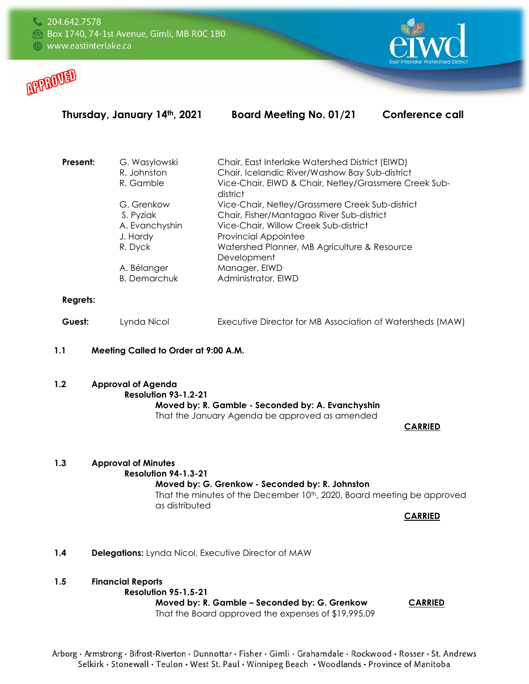



| Present: | G. Wasylowski<br>R. Johnston<br>R. Gamble                        | Chair, East Interlake Watershed District (EIWD)<br>Chair, Icelandic River/Washow Bay Sub-district<br>Vice-Chair, EIWD & Chair, Netley/Grassmere Creek Sub-<br>district                                                              |
|----------|------------------------------------------------------------------|-------------------------------------------------------------------------------------------------------------------------------------------------------------------------------------------------------------------------------------|
|          | G. Grenkow<br>S. Pyziak<br>A. Evanchyshin<br>J. Hardy<br>R. Dyck | Vice-Chair, Netley/Grassmere Creek Sub-district<br>Chair, Fisher/Mantagao River Sub-district<br>Vice-Chair, Willow Creek Sub-district<br><b>Provincial Appointee</b><br>Watershed Planner, MB Agriculture & Resource<br>Development |
|          | A. Bélanger<br><b>B.</b> Demarchuk                               | Manager, EIWD<br>Administrator, EIWD                                                                                                                                                                                                |
|          |                                                                  |                                                                                                                                                                                                                                     |

**Thursday, January 14th, 2021 Board Meeting No. 01/21 Conference call**

#### **Regrets:**

| Guest: | Lynda Nicol | Executive Director for MB Association of Watersheds (MAW) |
|--------|-------------|-----------------------------------------------------------|
|--------|-------------|-----------------------------------------------------------|

- **1.1 Meeting Called to Order at 9:00 A.M.**
- **1.2 Approval of Agenda**
	- **Resolution 93-1.2-21**

**Moved by: R. Gamble - Seconded by: A. Evanchyshin** That the January Agenda be approved as amended

 **CARRIED** 

#### **1.3 Approval of Minutes**

#### **Resolution 94-1.3-21**

#### **Moved by: G. Grenkow - Seconded by: R. Johnston**

That the minutes of the December 10<sup>th</sup>, 2020, Board meeting be approved as distributed

**CARRIED**

- **1.4 Delegations:** Lynda Nicol, Executive Director of MAW
- **1.5 Financial Reports**

**Resolution 95-1.5-21**

**Moved by: R. Gamble – Seconded by: G. Grenkow CARRIED**

That the Board approved the expenses of \$19,995.09

Arborg · Armstrong · Bifrost-Riverton · Dunnottar · Fisher · Gimli · Grahamdale · Rockwood · Rosser · St. Andrews Selkirk · Stonewall · Teulon · West St. Paul · Winnipeg Beach · Woodlands · Province of Manitoba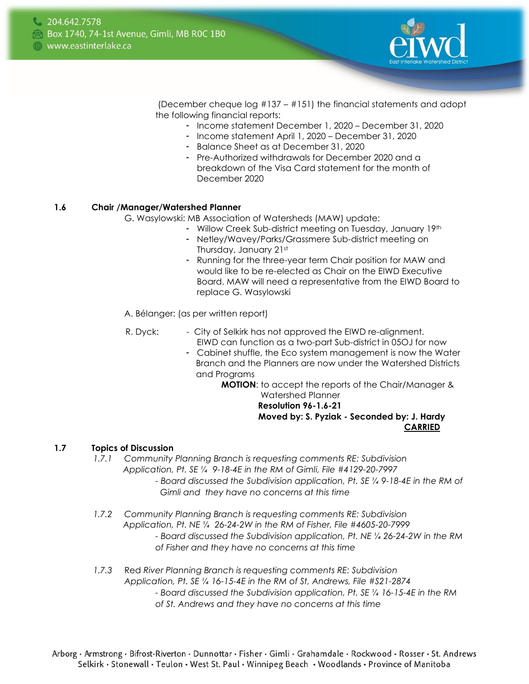

(December cheque log #137 – #151) the financial statements and adopt the following financial reports:

- Income statement December 1, 2020 December 31, 2020
- Income statement April 1, 2020 December 31, 2020
- Balance Sheet as at December 31, 2020
- Pre-Authorized withdrawals for December 2020 and a breakdown of the Visa Card statement for the month of December 2020

#### **1.6 Chair /Manager/Watershed Planner**

G. Wasylowski: MB Association of Watersheds (MAW) update:

- Willow Creek Sub-district meeting on Tuesday, January 19th
- Netley/Wavey/Parks/Grassmere Sub-district meeting on Thursday, January 21st
- Running for the three-year term Chair position for MAW and would like to be re-elected as Chair on the EIWD Executive Board. MAW will need a representative from the EIWD Board to replace G. Wasylowski
- A. Bélanger: (as per written report)
- R. Dyck: *-* City of Selkirk has not approved the EIWD re-alignment. EIWD can function as a two-part Sub-district in 05OJ for now
	- Cabinet shuffle, the Eco system management is now the Water Branch and the Planners are now under the Watershed Districts and Programs

**MOTION**: to accept the reports of the Chair/Manager & Watershed Planner

**Resolution 96-1.6-21 Moved by: S. Pyziak - Seconded by: J. Hardy CARRIED**

#### **1.7 Topics of Discussion**

*1.7.1 Community Planning Branch is requesting comments RE: Subdivision Application, Pt. SE ¼ 9-18-4E in the RM of Gimli, File #4129-20-7997*

> *- Board discussed the Subdivision application, Pt. SE ¼ 9-18-4E in the RM of Gimli and they have no concerns at this time*

- *1.7.2 Community Planning Branch is requesting comments RE: Subdivision Application, Pt. NE ¼ 26-24-2W in the RM of Fisher, File #4605-20-7999 - Board discussed the Subdivision application, Pt. NE ¼ 26-24-2W in the RM of Fisher and they have no concerns at this time*
- *1.7.3* Red *River Planning Branch is requesting comments RE: Subdivision Application, Pt. SE ¼ 16-15-4E in the RM of St, Andrews, File #S21-2874 - Board discussed the Subdivision application, Pt. SE ¼ 16-15-4E in the RM of St. Andrews and they have no concerns at this time*

Arborg · Armstrong · Bifrost-Riverton · Dunnottar · Fisher · Gimli · Grahamdale · Rockwood · Rosser · St. Andrews Selkirk · Stonewall · Teulon · West St. Paul · Winnipeg Beach · Woodlands · Province of Manitoba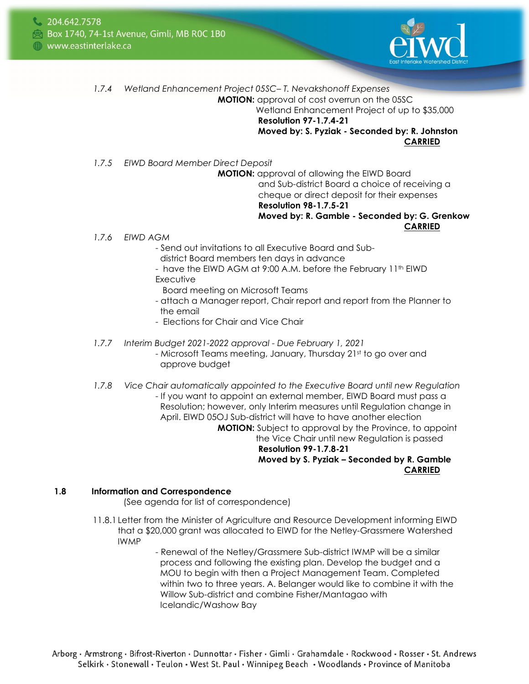

#### *1.7.4 Wetland Enhancement Project 05SC– T. Nevakshonoff Expenses* **MOTION:** approval of cost overrun on the 05SC Wetland Enhancement Project of up to \$35,000 **Resolution 97-1.7.4-21 Moved by: S. Pyziak - Seconded by: R. Johnston CARRIED**

*1.7.5 EIWD Board Member Direct Deposit*

**MOTION:** approval of allowing the EIWD Board and Sub-district Board a choice of receiving a cheque or direct deposit for their expenses **Resolution 98-1.7.5-21 Moved by: R. Gamble - Seconded by: G. Grenkow CARRIED**

*1.7.6 EIWD AGM*

- Send out invitations to all Executive Board and Sub-
- district Board members ten days in advance
- have the EIWD AGM at 9:00 A.M. before the February 11<sup>th</sup> EIWD **Executive**
- Board meeting on Microsoft Teams
- attach a Manager report, Chair report and report from the Planner to the email
- Elections for Chair and Vice Chair
- *1.7.7 Interim Budget 2021-2022 approval - Due February 1, 2021*
	- Microsoft Teams meeting, January, Thursday 21st to go over and approve budget
- *1.7.8 Vice Chair automatically appointed to the Executive Board until new Regulation*  - If you want to appoint an external member, EIWD Board must pass a Resolution; however, only Interim measures until Regulation change in April. EIWD 05OJ Sub-district will have to have another election **MOTION:** Subject to approval by the Province, to appoint the Vice Chair until new Regulation is passed **Resolution 99-1.7.8-21 Moved by S. Pyziak – Seconded by R. Gamble CARRIED**

#### **1.8 Information and Correspondence**

(See agenda for list of correspondence)

- 11.8.1 Letter from the Minister of Agriculture and Resource Development informing EIWD that a \$20,000 grant was allocated to EIWD for the Netley-Grassmere Watershed IWMP
	- Renewal of the Netley/Grassmere Sub-district IWMP will be a similar process and following the existing plan. Develop the budget and a MOU to begin with then a Project Management Team. Completed within two to three years. A. Belanger would like to combine it with the Willow Sub-district and combine Fisher/Mantagao with Icelandic/Washow Bay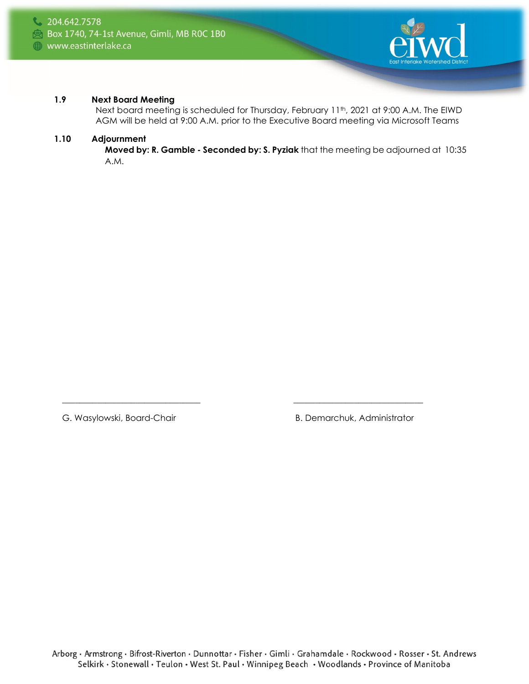

#### **1.9 Next Board Meeting**

Next board meeting is scheduled for Thursday, February 11<sup>th</sup>, 2021 at 9:00 A.M. The EIWD AGM will be held at 9:00 A.M. prior to the Executive Board meeting via Microsoft Teams

### **1.10 Adjournment**

**Moved by: R. Gamble - Seconded by: S. Pyziak** that the meeting be adjourned at 10:35 A.M.

G. Wasylowski, Board-Chair **B. Demarchuk, Administrator** B. Demarchuk, Administrator

 $\frac{1}{2}$  ,  $\frac{1}{2}$  ,  $\frac{1}{2}$  ,  $\frac{1}{2}$  ,  $\frac{1}{2}$  ,  $\frac{1}{2}$  ,  $\frac{1}{2}$  ,  $\frac{1}{2}$  ,  $\frac{1}{2}$  ,  $\frac{1}{2}$  ,  $\frac{1}{2}$  ,  $\frac{1}{2}$  ,  $\frac{1}{2}$  ,  $\frac{1}{2}$  ,  $\frac{1}{2}$  ,  $\frac{1}{2}$  ,  $\frac{1}{2}$  ,  $\frac{1}{2}$  ,  $\frac{1$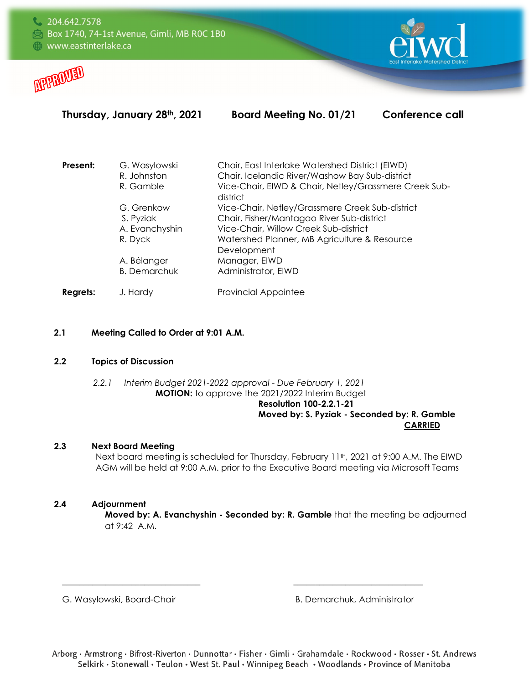



| Thursday, January 28th, 2021 | <b>Board Meeting No. 01/21</b> | <b>Conference call</b> |
|------------------------------|--------------------------------|------------------------|
|                              |                                |                        |

| Present: | G. Wasylowski<br>R. Johnston<br>R. Gamble | Chair, East Interlake Watershed District (EIWD)<br>Chair, Icelandic River/Washow Bay Sub-district<br>Vice-Chair, EIWD & Chair, Netley/Grassmere Creek Sub- |
|----------|-------------------------------------------|------------------------------------------------------------------------------------------------------------------------------------------------------------|
|          |                                           | district                                                                                                                                                   |
|          | G. Grenkow                                | Vice-Chair, Netley/Grassmere Creek Sub-district                                                                                                            |
|          | S. Pyziak                                 | Chair, Fisher/Mantagao River Sub-district                                                                                                                  |
|          | A. Evanchyshin                            | Vice-Chair, Willow Creek Sub-district                                                                                                                      |
|          | R. Dyck                                   | Watershed Planner, MB Agriculture & Resource<br>Development                                                                                                |
|          | A. Bélanger                               | Manager, EIWD                                                                                                                                              |
|          | <b>B.</b> Demarchuk                       | Administrator, EIWD                                                                                                                                        |
| Regrets: | J. Hardy                                  | <b>Provincial Appointee</b>                                                                                                                                |

#### **2.1 Meeting Called to Order at 9:01 A.M.**

#### **2.2 Topics of Discussion**

*2.2.1 Interim Budget 2021-2022 approval - Due February 1, 2021* **MOTION:** to approve the 2021/2022 Interim Budget **Resolution 100-2.2.1-21 Moved by: S. Pyziak - Seconded by: R. Gamble CARRIED**

#### **2.3 Next Board Meeting**

Next board meeting is scheduled for Thursday, February 11<sup>th</sup>, 2021 at 9:00 A.M. The EIWD AGM will be held at 9:00 A.M. prior to the Executive Board meeting via Microsoft Teams

#### **2.4 Adjournment**

**Moved by: A. Evanchyshin - Seconded by: R. Gamble** that the meeting be adjourned at 9:42 A.M.

G. Wasylowski, Board-Chair **B. Demarchuk, Administrator** B. Demarchuk, Administrator

\_\_\_\_\_\_\_\_\_\_\_\_\_\_\_\_\_\_\_\_\_\_\_\_\_\_\_\_\_\_\_\_ \_\_\_\_\_\_\_\_\_\_\_\_\_\_\_\_\_\_\_\_\_\_\_\_\_\_\_\_\_\_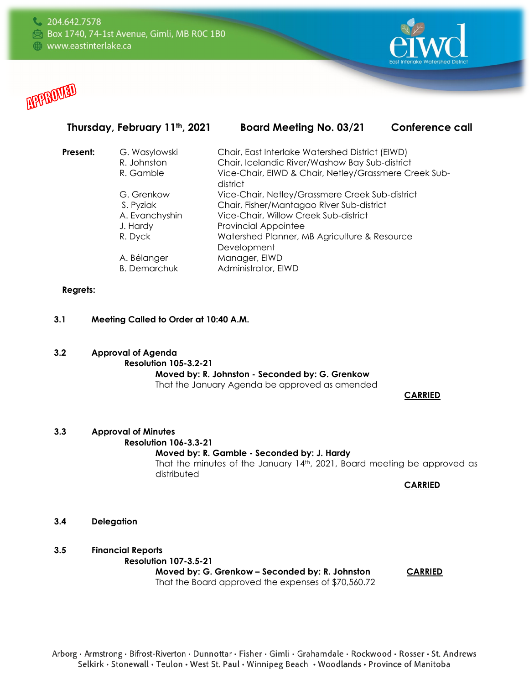



# **Thursday, February 11th, 2021 Board Meeting No. 03/21 Conference call**

| Present: | G. Wasylowski<br>R. Johnston<br>R. Gamble | Chair, East Interlake Watershed District (EIWD)<br>Chair, Icelandic River/Washow Bay Sub-district<br>Vice-Chair, EIWD & Chair, Netley/Grassmere Creek Sub-<br>district |
|----------|-------------------------------------------|------------------------------------------------------------------------------------------------------------------------------------------------------------------------|
|          | G. Grenkow<br>S. Pyziak                   | Vice-Chair, Netley/Grassmere Creek Sub-district<br>Chair, Fisher/Mantagao River Sub-district                                                                           |
|          | A. Evanchyshin                            | Vice-Chair, Willow Creek Sub-district                                                                                                                                  |
|          | J. Hardy                                  | <b>Provincial Appointee</b>                                                                                                                                            |
|          | R. Dyck                                   | Watershed Planner, MB Agriculture & Resource                                                                                                                           |
|          |                                           | Development                                                                                                                                                            |
|          | A. Bélanger                               | Manager, EIWD                                                                                                                                                          |
|          | <b>B.</b> Demarchuk                       | Administrator, EIWD                                                                                                                                                    |
|          |                                           |                                                                                                                                                                        |

#### **Regrets:**

- **3.1 Meeting Called to Order at 10:40 A.M.**
- **3.2 Approval of Agenda**

**Resolution 105-3.2-21 Moved by: R. Johnston - Seconded by: G. Grenkow** That the January Agenda be approved as amended

 **CARRIED** 

#### **3.3 Approval of Minutes**

**Resolution 106-3.3-21**

#### **Moved by: R. Gamble - Seconded by: J. Hardy**

That the minutes of the January 14<sup>th</sup>, 2021, Board meeting be approved as distributed

**CARRIED**

- **3.4 Delegation**
- **3.5 Financial Reports**

**Resolution 107-3.5-21**

**Moved by: G. Grenkow – Seconded by: R. Johnston CARRIED** That the Board approved the expenses of \$70,560.72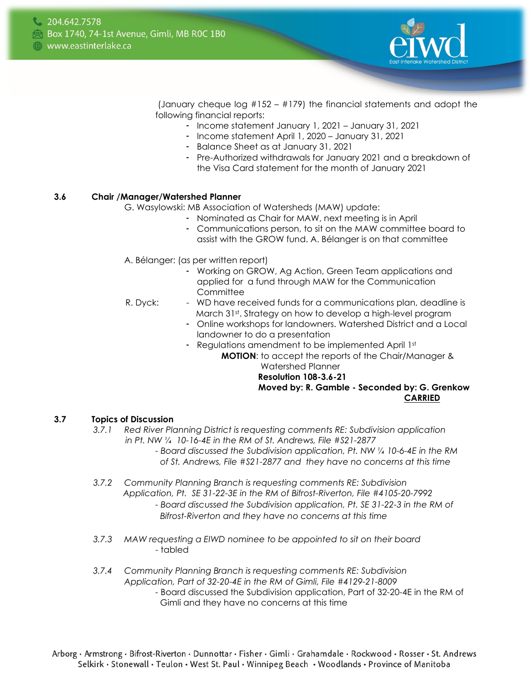

(January cheque log #152 – #179) the financial statements and adopt the following financial reports:

- Income statement January 1, 2021 January 31, 2021
- Income statement April 1, 2020 January 31, 2021
- Balance Sheet as at January 31, 2021
- Pre-Authorized withdrawals for January 2021 and a breakdown of the Visa Card statement for the month of January 2021

#### **3.6 Chair /Manager/Watershed Planner**

G. Wasylowski: MB Association of Watersheds (MAW) update:

- Nominated as Chair for MAW, next meeting is in April
	- Communications person, to sit on the MAW committee board to assist with the GROW fund. A. Bélanger is on that committee
- A. Bélanger: (as per written report)
	- Working on GROW, Ag Action, Green Team applications and applied for a fund through MAW for the Communication **Committee**
- R. Dyck: *-* WD have received funds for a communications plan, deadline is March 31st. Strategy on how to develop a high-level program
	- Online workshops for landowners. Watershed District and a Local landowner to do a presentation
	- Regulations amendment to be implemented April 1st **MOTION**: to accept the reports of the Chair/Manager &

 Watershed Planner **Resolution 108-3.6-21**

#### **Moved by: R. Gamble - Seconded by: G. Grenkow CARRIED**

#### **3.7 Topics of Discussion**

- *3.7.1 Red River Planning District is requesting comments RE: Subdivision application in Pt. NW ¼ 10-16-4E in the RM of St. Andrews, File #S21-2877*
	- *- Board discussed the Subdivision application, Pt. NW ¼ 10-6-4E in the RM of St. Andrews, File #S21-2877 and they have no concerns at this time*
- *3.7.2 Community Planning Branch is requesting comments RE: Subdivision Application, Pt. SE 31-22-3E in the RM of Bifrost-Riverton, File #4105-20-7992 - Board discussed the Subdivision application, Pt. SE 31-22-3 in the RM of Bifrost-Riverton and they have no concerns at this time*
- *3.7.3 MAW requesting a EIWD nominee to be appointed to sit on their board* - tabled
- *3.7.4 Community Planning Branch is requesting comments RE: Subdivision Application, Part of 32-20-4E in the RM of Gimli, File #4129-21-8009*
	- *-* Board discussed the Subdivision application, Part of 32-20-4E in the RM of Gimli and they have no concerns at this time

Arborg · Armstrong · Bifrost-Riverton · Dunnottar · Fisher · Gimli · Grahamdale · Rockwood · Rosser · St. Andrews Selkirk · Stonewall · Teulon · West St. Paul · Winnipeg Beach · Woodlands · Province of Manitoba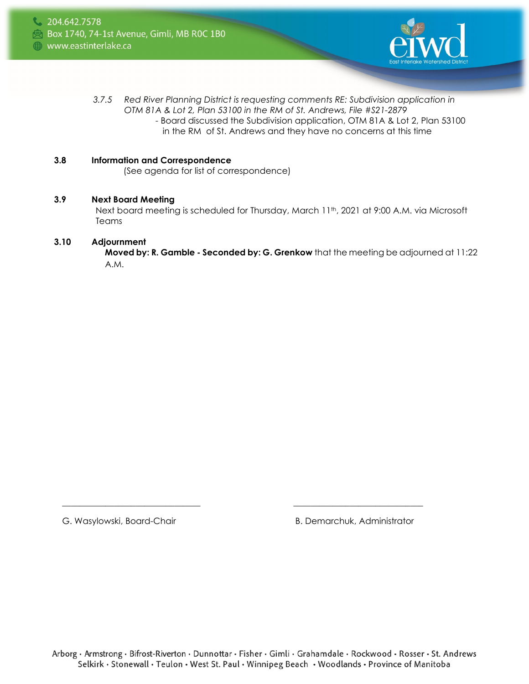

- *3.7.5 Red River Planning District is requesting comments RE: Subdivision application in OTM 81A & Lot 2, Plan 53100 in the RM of St. Andrews, File #S21-2879*
	- Board discussed the Subdivision application, OTM 81A & Lot 2, Plan 53100 in the RM of St. Andrews and they have no concerns at this time

#### **3.8 Information and Correspondence**

(See agenda for list of correspondence)

#### **3.9 Next Board Meeting**

Next board meeting is scheduled for Thursday, March 11<sup>th</sup>, 2021 at 9:00 A.M. via Microsoft Teams

#### **3.10 Adjournment**

**Moved by: R. Gamble - Seconded by: G. Grenkow** that the meeting be adjourned at 11:22 A.M.

G. Wasylowski, Board-Chair **B. Demarchuk, Administrator** B. Demarchuk, Administrator

\_\_\_\_\_\_\_\_\_\_\_\_\_\_\_\_\_\_\_\_\_\_\_\_\_\_\_\_\_\_\_\_ \_\_\_\_\_\_\_\_\_\_\_\_\_\_\_\_\_\_\_\_\_\_\_\_\_\_\_\_\_\_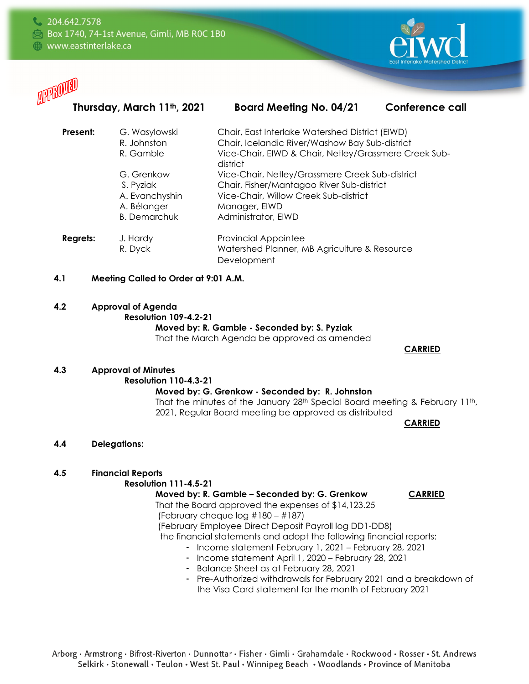

| Present:        | G. Wasylowski<br>R. Johnston<br>R. Gamble                                       | Chair, East Interlake Watershed District (EIWD)<br>Chair, Icelandic River/Washow Bay Sub-district<br>Vice-Chair, EIWD & Chair, Netley/Grassmere Creek Sub-<br>district        |
|-----------------|---------------------------------------------------------------------------------|-------------------------------------------------------------------------------------------------------------------------------------------------------------------------------|
|                 | G. Grenkow<br>S. Pyziak<br>A. Evanchyshin<br>A. Bélanger<br><b>B.</b> Demarchuk | Vice-Chair, Netley/Grassmere Creek Sub-district<br>Chair, Fisher/Mantagao River Sub-district<br>Vice-Chair, Willow Creek Sub-district<br>Manager, EIWD<br>Administrator, EIWD |
| <b>Regrets:</b> | J. Hardy<br>R. Dyck                                                             | <b>Provincial Appointee</b><br>Watershed Planner, MB Agriculture & Resource<br>Development                                                                                    |

#### **4.1 Meeting Called to Order at 9:01 A.M.**

#### **4.2 Approval of Agenda Resolution 109-4.2-21 Moved by: R. Gamble - Seconded by: S. Pyziak**

That the March Agenda be approved as amended

 **CARRIED** 

# **4.3 Approval of Minutes**

#### **Resolution 110-4.3-21**

#### **Moved by: G. Grenkow - Seconded by: R. Johnston**

That the minutes of the January 28<sup>th</sup> Special Board meeting & February 11<sup>th</sup>, 2021, Regular Board meeting be approved as distributed

**CARRIED**

#### **4.4 Delegations:**

#### **4.5 Financial Reports**

#### **Resolution 111-4.5-21**

#### **Moved by: R. Gamble – Seconded by: G. Grenkow CARRIED**

That the Board approved the expenses of \$14,123.25

(February cheque log #180 – #187)

(February Employee Direct Deposit Payroll log DD1-DD8)

the financial statements and adopt the following financial reports:

- Income statement February 1, 2021 February 28, 2021
- Income statement April 1, 2020 February 28, 2021
- Balance Sheet as at February 28, 2021
- Pre-Authorized withdrawals for February 2021 and a breakdown of the Visa Card statement for the month of February 2021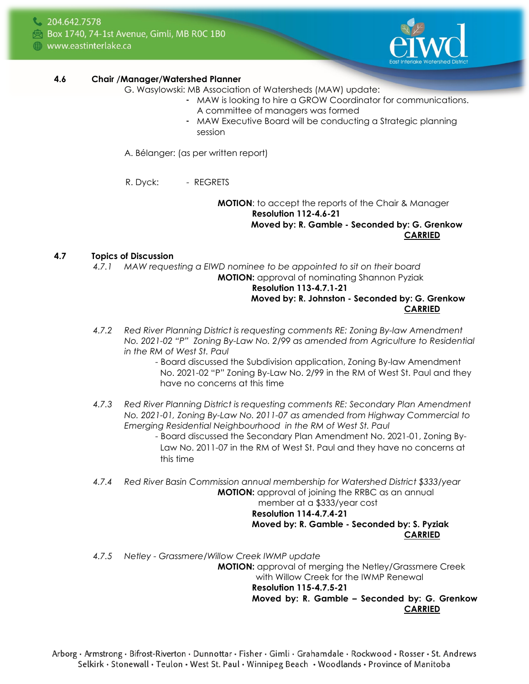- C 204.642.7578
- **Box 1740, 74-1st Avenue, Gimli, MB ROC 1BO**
- www.eastinterlake.ca



#### **4.6 Chair /Manager/Watershed Planner**

- G. Wasylowski: MB Association of Watersheds (MAW) update:
	- MAW is looking to hire a GROW Coordinator for communications. A committee of managers was formed
	- MAW Executive Board will be conducting a Strategic planning session

A. Bélanger: (as per written report)

R. Dyck: *-* REGRETS

#### **MOTION**: to accept the reports of the Chair & Manager **Resolution 112-4.6-21 Moved by: R. Gamble - Seconded by: G. Grenkow CARRIED**

#### **4.7 Topics of Discussion**

*4.7.1 MAW requesting a EIWD nominee to be appointed to sit on their board* **MOTION:** approval of nominating Shannon Pyziak **Resolution 113-4.7.1-21 Moved by: R. Johnston - Seconded by: G. Grenkow CARRIED**

*4.7.2 Red River Planning District is requesting comments RE: Zoning By-law Amendment No. 2021-02 "P" Zoning By-Law No. 2/99 as amended from Agriculture to Residential in the RM of West St. Paul* 

*-* Board discussed the Subdivision application, Zoning By-law Amendment No. 2021-02 "P" Zoning By-Law No. 2/99 in the RM of West St. Paul and they have no concerns at this time

*4.7.3 Red River Planning District is requesting comments RE: Secondary Plan Amendment No. 2021-01, Zoning By-Law No. 2011-07 as amended from Highway Commercial to Emerging Residential Neighbourhood in the RM of West St. Paul* 

*-* Board discussed the Secondary Plan Amendment No. 2021-01, Zoning By- Law No. 2011-07 in the RM of West St. Paul and they have no concerns at this time

*4.7.4 Red River Basin Commission annual membership for Watershed District \$333/year* **MOTION:** approval of joining the RRBC as an annual member at a \$333/year cost

#### **Resolution 114-4.7.4-21 Moved by: R. Gamble - Seconded by: S. Pyziak CARRIED**

*4.7.5 Netley - Grassmere/Willow Creek IWMP update*

**MOTION:** approval of merging the Netley/Grassmere Creek with Willow Creek for the IWMP Renewal **Resolution 115-4.7.5-21 Moved by: R. Gamble – Seconded by: G. Grenkow CARRIED**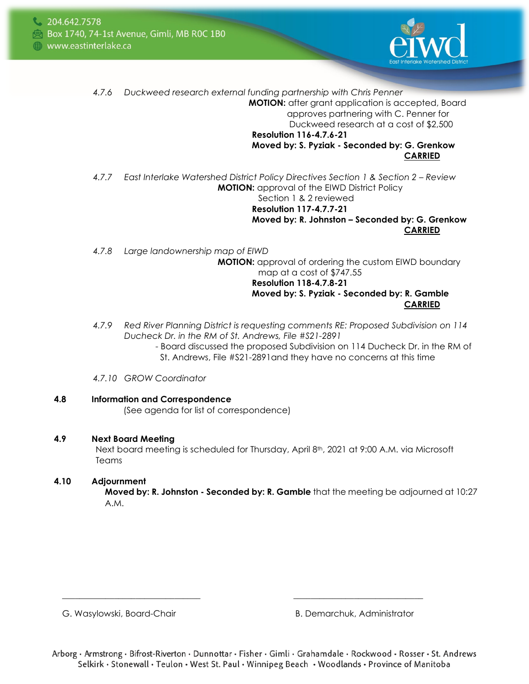

*4.7.6 Duckweed research external funding partnership with Chris Penner* **MOTION:** after grant application is accepted, Board approves partnering with C. Penner for Duckweed research at a cost of \$2,500 **Resolution 116-4.7.6-21 Moved by: S. Pyziak - Seconded by: G. Grenkow CARRIED** *4.7.7 East Interlake Watershed District Policy Directives Section 1 & Section 2 – Review* **MOTION:** approval of the EIWD District Policy Section 1 & 2 reviewed **Resolution 117-4.7.7-21 Moved by: R. Johnston – Seconded by: G. Grenkow**

**CARRIED**

*4.7.8 Large landownership map of EIWD* **MOTION:** approval of ordering the custom EIWD boundary map at a cost of \$747.55 **Resolution 118-4.7.8-21 Moved by: S. Pyziak - Seconded by: R. Gamble CARRIED**

- *4.7.9 Red River Planning District is requesting comments RE: Proposed Subdivision on 114 Ducheck Dr. in the RM of St. Andrews, File #S21-2891*
	- Board discussed the proposed Subdivision on 114 Ducheck Dr. in the RM of St. Andrews, File #S21-2891and they have no concerns at this time
- *4.7.10 GROW Coordinator*

#### **4.8 Information and Correspondence**

(See agenda for list of correspondence)

#### **4.9 Next Board Meeting**

Next board meeting is scheduled for Thursday, April 8<sup>th</sup>, 2021 at 9:00 A.M. via Microsoft Teams

#### **4.10 Adjournment**

**Moved by: R. Johnston - Seconded by: R. Gamble** that the meeting be adjourned at 10:27 A.M.

G. Wasylowski, Board-Chair **B. Demarchuk, Administrator** B. Demarchuk, Administrator

\_\_\_\_\_\_\_\_\_\_\_\_\_\_\_\_\_\_\_\_\_\_\_\_\_\_\_\_\_\_\_\_ \_\_\_\_\_\_\_\_\_\_\_\_\_\_\_\_\_\_\_\_\_\_\_\_\_\_\_\_\_\_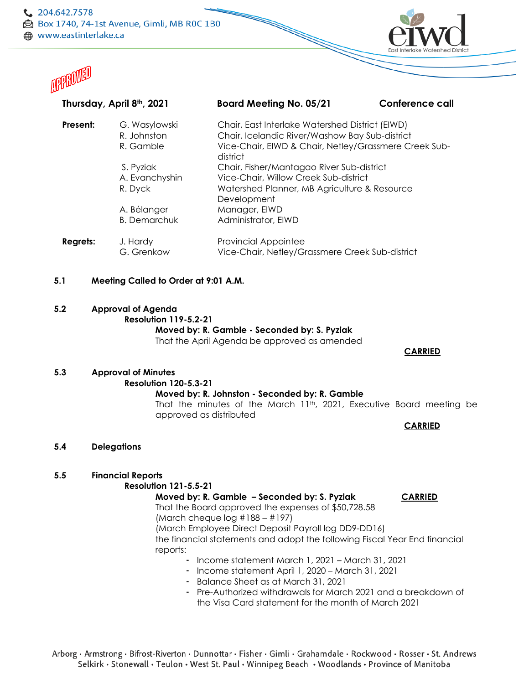



| Present: | G. Wasylowski<br>R. Johnston<br>R. Gamble | Chair, East Interlake Watershed District (EIWD)<br>Chair, Icelandic River/Washow Bay Sub-district<br>Vice-Chair, EIWD & Chair, Netley/Grassmere Creek Sub-<br>district |
|----------|-------------------------------------------|------------------------------------------------------------------------------------------------------------------------------------------------------------------------|
|          | S. Pyziak                                 | Chair, Fisher/Mantagao River Sub-district                                                                                                                              |
|          | A. Evanchyshin                            | Vice-Chair, Willow Creek Sub-district                                                                                                                                  |
|          | R. Dyck                                   | Watershed Planner, MB Agriculture & Resource<br>Development                                                                                                            |
|          | A. Bélanger                               | Manager, EIWD                                                                                                                                                          |
|          | <b>B.</b> Demarchuk                       | Administrator, EIWD                                                                                                                                                    |
| Regrets: | J. Hardy<br>G. Grenkow                    | <b>Provincial Appointee</b><br>Vice-Chair, Netley/Grassmere Creek Sub-district                                                                                         |

**Thursday, April 8th, 2021 Board Meeting No. 05/21 Conference call**

#### **5.1 Meeting Called to Order at 9:01 A.M.**

**5.2 Approval of Agenda**

**Resolution 119-5.2-21**

**Moved by: R. Gamble - Seconded by: S. Pyziak**

That the April Agenda be approved as amended

#### **CARRIED**

# **5.3 Approval of Minutes**

#### **Resolution 120-5.3-21**

#### **Moved by: R. Johnston - Seconded by: R. Gamble**

That the minutes of the March  $11<sup>th</sup>$ , 2021, Executive Board meeting be approved as distributed

**CARRIED**

**5.4 Delegations**

#### **5.5 Financial Reports**

#### **Resolution 121-5.5-21**

#### **Moved by: R. Gamble – Seconded by: S. Pyziak CARRIED** That the Board approved the expenses of \$50,728.58

(March cheque log #188 – #197) (March Employee Direct Deposit Payroll log DD9-DD16) the financial statements and adopt the following Fiscal Year End financial reports:

- Income statement March 1, 2021 March 31, 2021
- Income statement April 1, 2020 March 31, 2021
- Balance Sheet as at March 31, 2021
- Pre-Authorized withdrawals for March 2021 and a breakdown of the Visa Card statement for the month of March 2021

Arborg · Armstrong · Bifrost-Riverton · Dunnottar · Fisher · Gimli · Grahamdale · Rockwood · Rosser · St. Andrews Selkirk · Stonewall · Teulon · West St. Paul · Winnipeg Beach · Woodlands · Province of Manitoba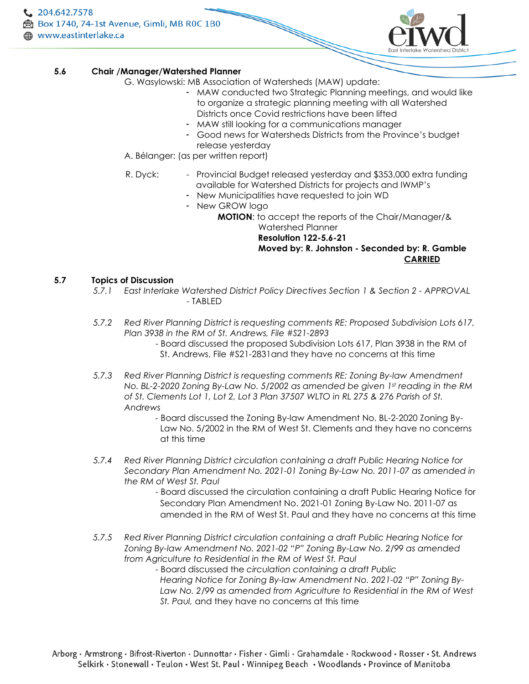

**CARRIED**

#### **5.6 Chair /Manager/Watershed Planner**

- G. Wasylowski: MB Association of Watersheds (MAW) update:
	- MAW conducted two Strategic Planning meetings, and would like to organize a strategic planning meeting with all Watershed Districts once Covid restrictions have been lifted
	- MAW still looking for a communications manager
	- Good news for Watersheds Districts from the Province's budget release yesterday
- A. Bélanger: (as per written report)
- R. Dyck: *-* Provincial Budget released yesterday and \$353,000 extra funding available for Watershed Districts for projects and IWMP's
	- New Municipalities have requested to join WD
	- New GROW logo

**MOTION**: to accept the reports of the Chair/Manager/& Watershed Planner **Resolution 122-5.6-21 Moved by: R. Johnston - Seconded by: R. Gamble**

#### **5.7 Topics of Discussion**

- *5.7.1 East Interlake Watershed District Policy Directives Section 1 & Section 2 - APPROVAL*  - TABLED
- *5.7.2 Red River Planning District is requesting comments RE: Proposed Subdivision Lots 617, Plan 3938 in the RM of St. Andrews, File #S21-2893*
	- Board discussed the proposed Subdivision Lots 617, Plan 3938 in the RM of St. Andrews, File #S21-2831and they have no concerns at this time
- *5.7.3 Red River Planning District is requesting comments RE: Zoning By-law Amendment No. BL-2-2020 Zoning By-Law No. 5/2002 as amended be given 1st reading in the RM of St. Clements Lot 1, Lot 2, Lot 3 Plan 37507 WLTO in RL 275 & 276 Parish of St. Andrews*

*-* Board discussed the Zoning By-law Amendment No. BL-2-2020 Zoning By- Law No. 5/2002 in the RM of West St. Clements and they have no concerns at this time

*5.7.4 Red River Planning District circulation containing a draft Public Hearing Notice for Secondary Plan Amendment No. 2021-01 Zoning By-Law No. 2011-07 as amended in the RM of West St. Paul*

- Board discussed the circulation containing a draft Public Hearing Notice for Secondary Plan Amendment No. 2021-01 Zoning By-Law No. 2011-07 as amended in the RM of West St. Paul and they have no concerns at this time

- *5.7.5 Red River Planning District circulation containing a draft Public Hearing Notice for Zoning By-law Amendment No. 2021-02 "P" Zoning By-Law No. 2/99 as amended*  from Agriculture to Residential in the RM of West St. Paul
	- Board discussed the *circulation containing a draft Public Hearing Notice for Zoning By-law Amendment No. 2021-02 "P" Zoning By-*Law No. 2/99 as amended from Agriculture to Residential in the RM of West *St. Paul,* and they have no concerns at this time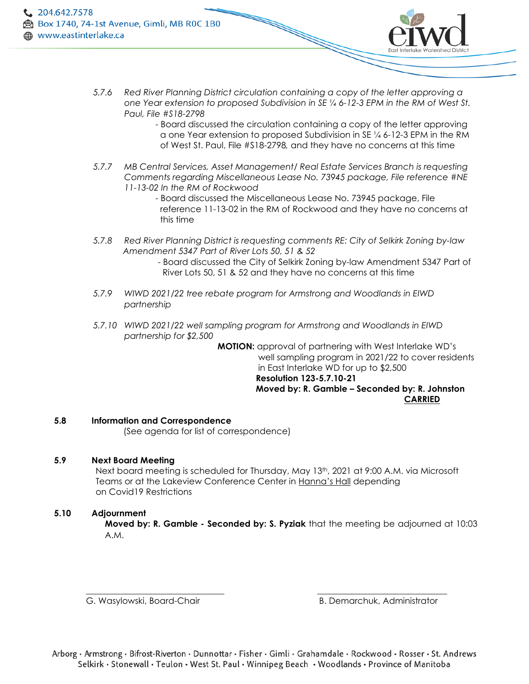

- Board discussed the circulation containing a copy of the letter approving a one Year extension to proposed Subdivision in SE ¼ 6-12-3 EPM in the RM of West St. Paul, File #S18-2798*,* and they have no concerns at this time
- *5.7.7 MB Central Services, Asset Management/ Real Estate Services Branch is requesting Comments regarding Miscellaneous Lease No. 73945 package, File reference #NE 11-13-02 In the RM of Rockwood*

- Board discussed the Miscellaneous Lease No. 73945 package, File reference 11-13-02 in the RM of Rockwood and they have no concerns at this time

- *5.7.8 Red River Planning District is requesting comments RE: City of Selkirk Zoning by-law Amendment 5347 Part of River Lots 50, 51 & 52*
	- Board discussed the City of Selkirk Zoning by-law Amendment 5347 Part of River Lots 50, 51 & 52 and they have no concerns at this time
- *5.7.9 WIWD 2021/22 tree rebate program for Armstrong and Woodlands in EIWD partnership*
- *5.7.10 WIWD 2021/22 well sampling program for Armstrong and Woodlands in EIWD partnership for \$2,500*

**MOTION:** approval of partnering with West Interlake WD's well sampling program in 2021/22 to cover residents in East Interlake WD for up to \$2,500 **Resolution 123-5.7.10-21 Moved by: R. Gamble – Seconded by: R. Johnston CARRIED**

#### **5.8 Information and Correspondence**

(See agenda for list of correspondence)

#### **5.9 Next Board Meeting**

Next board meeting is scheduled for Thursday, May 13<sup>th</sup>, 2021 at 9:00 A.M. via Microsoft Teams or at the Lakeview Conference Center in Hanna's Hall depending on Covid19 Restrictions

#### **5.10 Adjournment**

**Moved by: R. Gamble - Seconded by: S. Pyziak** that the meeting be adjourned at 10:03 A.M.

 $\frac{1}{2}$  ,  $\frac{1}{2}$  ,  $\frac{1}{2}$  ,  $\frac{1}{2}$  ,  $\frac{1}{2}$  ,  $\frac{1}{2}$  ,  $\frac{1}{2}$  ,  $\frac{1}{2}$  ,  $\frac{1}{2}$  ,  $\frac{1}{2}$  ,  $\frac{1}{2}$  ,  $\frac{1}{2}$  ,  $\frac{1}{2}$  ,  $\frac{1}{2}$  ,  $\frac{1}{2}$  ,  $\frac{1}{2}$  ,  $\frac{1}{2}$  ,  $\frac{1}{2}$  ,  $\frac{1$ G. Wasylowski, Board-Chair **B. Demarchuk, Administrator** B. Demarchuk, Administrator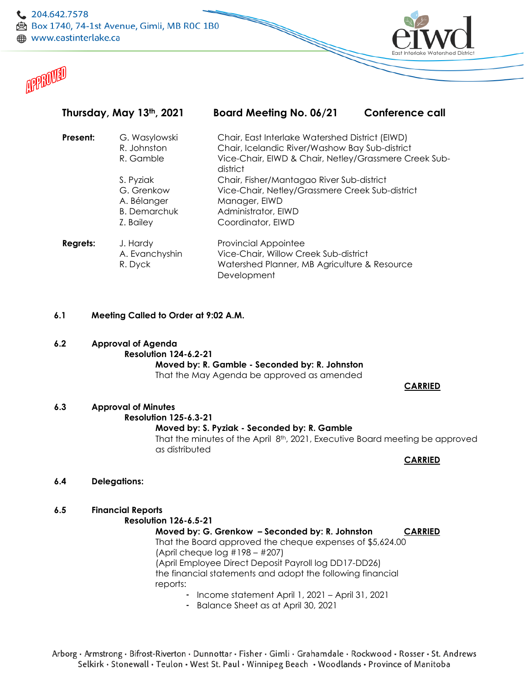



| Present:        | G. Wasylowski<br>R. Johnston<br>R. Gamble                                  | Chair, East Interlake Watershed District (EIWD)<br>Chair, Icelandic River/Washow Bay Sub-district<br>Vice-Chair, EIWD & Chair, Netley/Grassmere Creek Sub-<br>district |
|-----------------|----------------------------------------------------------------------------|------------------------------------------------------------------------------------------------------------------------------------------------------------------------|
|                 | S. Pyziak<br>G. Grenkow<br>A. Bélanger<br><b>B.</b> Demarchuk<br>Z. Bailey | Chair, Fisher/Mantagao River Sub-district<br>Vice-Chair, Netley/Grassmere Creek Sub-district<br>Manager, EIWD<br>Administrator, EIWD<br>Coordinator, EIWD              |
| <b>Regrets:</b> | J. Hardy<br>A. Evanchyshin<br>R. Dyck                                      | <b>Provincial Appointee</b><br>Vice-Chair, Willow Creek Sub-district<br>Watershed Planner, MB Agriculture & Resource<br>Development                                    |

**Thursday, May 13th, 2021 Board Meeting No. 06/21 Conference call**

- **6.1 Meeting Called to Order at 9:02 A.M.**
- **6.2 Approval of Agenda**

**Resolution 124-6.2-21**

**Moved by: R. Gamble - Seconded by: R. Johnston** That the May Agenda be approved as amended

#### **CARRIED**

- **6.3 Approval of Minutes**
	- **Resolution 125-6.3-21 Moved by: S. Pyziak - Seconded by: R. Gamble** That the minutes of the April 8th, 2021, Executive Board meeting be approved as distributed

#### **CARRIED**

- **6.4 Delegations:**
- **6.5 Financial Reports**

**Resolution 126-6.5-21**

**Moved by: G. Grenkow – Seconded by: R. Johnston CARRIED**

That the Board approved the cheque expenses of \$5,624.00 (April cheque log #198 – #207) (April Employee Direct Deposit Payroll log DD17-DD26) the financial statements and adopt the following financial

reports:

- Income statement April 1, 2021 April 31, 2021
- Balance Sheet as at April 30, 2021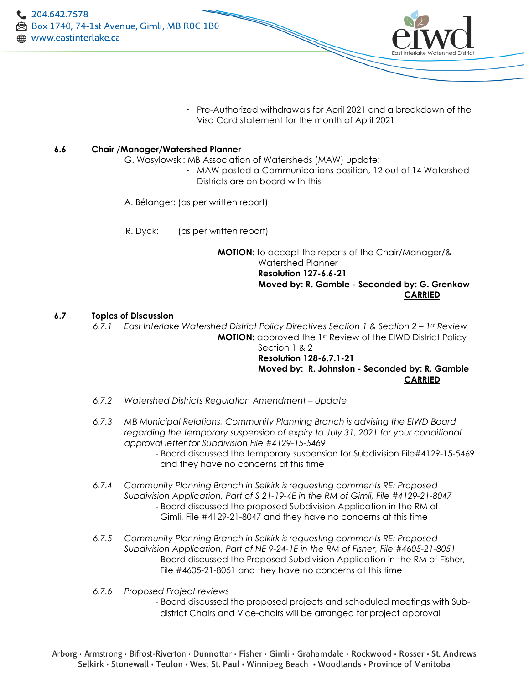

- Pre-Authorized withdrawals for April 2021 and a breakdown of the Visa Card statement for the month of April 2021

#### **6.6 Chair /Manager/Watershed Planner**

G. Wasylowski: MB Association of Watersheds (MAW) update:

- MAW posted a Communications position, 12 out of 14 Watershed Districts are on board with this
- A. Bélanger: (as per written report)
- R. Dyck: (as per written report)

**MOTION**: to accept the reports of the Chair/Manager/& Watershed Planner **Resolution 127-6.6-21 Moved by: R. Gamble - Seconded by: G. Grenkow CARRIED**

#### **6.7 Topics of Discussion**

*6.7.1 East Interlake Watershed District Policy Directives Section 1 & Section 2 – 1st Review* **MOTION:** approved the 1st Review of the EIWD District Policy Section 1 & 2  **Resolution 128-6.7.1-21**

# **Moved by: R. Johnston - Seconded by: R. Gamble CARRIED**

- *6.7.2 Watershed Districts Regulation Amendment – Update*
- *6.7.3 MB Municipal Relations, Community Planning Branch is advising the EIWD Board regarding the temporary suspension of expiry to July 31, 2021 for your conditional approval letter for Subdivision File #4129-15-5469*
	- Board discussed the temporary suspension for Subdivision File#4129-15-5469 and they have no concerns at this time
- *6.7.4 Community Planning Branch in Selkirk is requesting comments RE: Proposed Subdivision Application, Part of S 21-19-4E in the RM of Gimli, File #4129-21-8047* - Board discussed the proposed Subdivision Application in the RM of Gimli, File #4129-21-8047 and they have no concerns at this time
- *6.7.5 Community Planning Branch in Selkirk is requesting comments RE: Proposed Subdivision Application, Part of NE 9-24-1E in the RM of Fisher, File #4605-21-8051*
	- *-* Board discussed the Proposed Subdivision Application in the RM of Fisher, File #4605-21-8051 and they have no concerns at this time
- *6.7.6 Proposed Project reviews*
	- Board discussed the proposed projects and scheduled meetings with Sub district Chairs and Vice-chairs will be arranged for project approval

Arborg · Armstrong · Bifrost-Riverton · Dunnottar · Fisher · Gimli · Grahamdale · Rockwood · Rosser · St. Andrews Selkirk · Stonewall · Teulon · West St. Paul · Winnipeg Beach · Woodlands · Province of Manitoba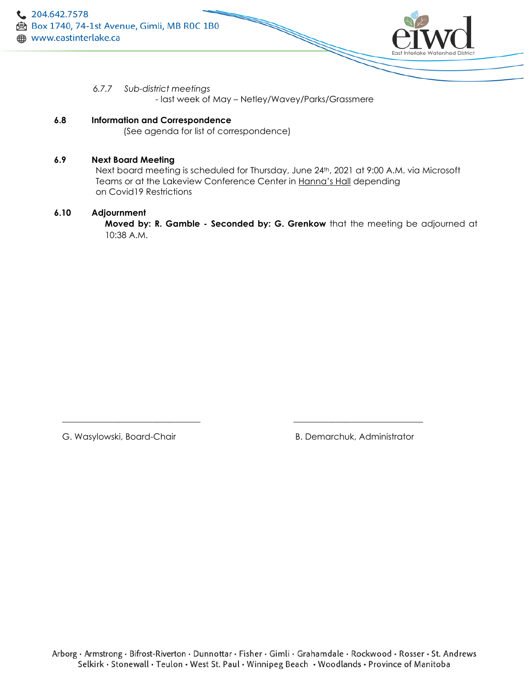

- *6.7.7 Sub-district meetings*
	- last week of May Netley/Wavey/Parks/Grassmere
- **6.8 Information and Correspondence** (See agenda for list of correspondence)

#### **6.9 Next Board Meeting**

Next board meeting is scheduled for Thursday, June 24th, 2021 at 9:00 A.M. via Microsoft Teams or at the Lakeview Conference Center in Hanna's Hall depending on Covid19 Restrictions

#### **6.10 Adjournment**

**Moved by: R. Gamble - Seconded by: G. Grenkow** that the meeting be adjourned at 10:38 A.M.

G. Wasylowski, Board-Chair **B. Demarchuk, Administrator** B. Demarchuk, Administrator

\_\_\_\_\_\_\_\_\_\_\_\_\_\_\_\_\_\_\_\_\_\_\_\_\_\_\_\_\_\_\_\_ \_\_\_\_\_\_\_\_\_\_\_\_\_\_\_\_\_\_\_\_\_\_\_\_\_\_\_\_\_\_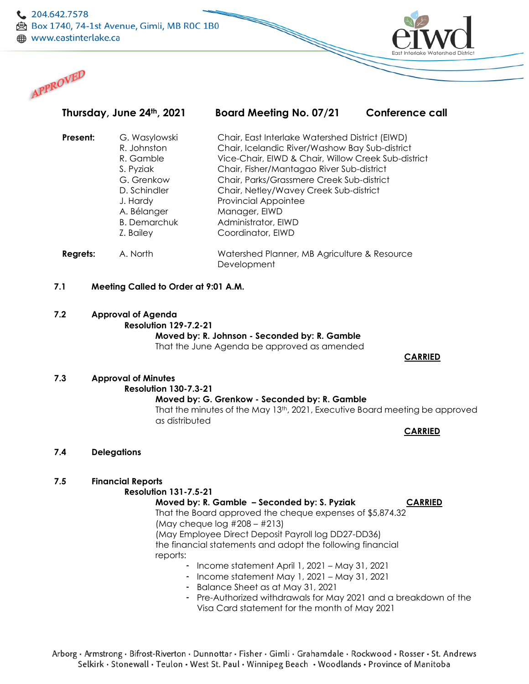



| Present:        | G. Wasylowski<br>R. Johnston<br>R. Gamble<br>S. Pyziak<br>G. Grenkow<br>D. Schindler<br>J. Hardy<br>A. Bélanger<br><b>B.</b> Demarchuk<br>Z. Bailey | Chair, East Interlake Watershed District (EIWD)<br>Chair, Icelandic River/Washow Bay Sub-district<br>Vice-Chair, EIWD & Chair, Willow Creek Sub-district<br>Chair, Fisher/Mantagao River Sub-district<br>Chair, Parks/Grassmere Creek Sub-district<br>Chair, Netley/Wavey Creek Sub-district<br><b>Provincial Appointee</b><br>Manager, EIWD<br>Administrator, EIWD<br>Coordinator, EIWD |
|-----------------|-----------------------------------------------------------------------------------------------------------------------------------------------------|------------------------------------------------------------------------------------------------------------------------------------------------------------------------------------------------------------------------------------------------------------------------------------------------------------------------------------------------------------------------------------------|
| <b>Regrets:</b> | A. North                                                                                                                                            | Watershed Planner, MB Agriculture & Resource<br>Development                                                                                                                                                                                                                                                                                                                              |

**Thursday, June 24th, 2021 Board Meeting No. 07/21 Conference call**

- **7.1 Meeting Called to Order at 9:01 A.M.**
- **7.2 Approval of Agenda**

**Resolution 129-7.2-21**

# **Moved by: R. Johnson - Seconded by: R. Gamble**

That the June Agenda be approved as amended

#### **CARRIED**

#### **7.3 Approval of Minutes**

**Resolution 130-7.3-21**

#### **Moved by: G. Grenkow - Seconded by: R. Gamble**

That the minutes of the May 13<sup>th</sup>, 2021, Executive Board meeting be approved as distributed

**CARRIED**

**7.4 Delegations**

# **7.5 Financial Reports**

#### **Resolution 131-7.5-21**

#### **Moved by: R. Gamble – Seconded by: S. Pyziak CARRIED**

That the Board approved the cheque expenses of \$5,874.32 (May cheque log #208 – #213) (May Employee Direct Deposit Payroll log DD27-DD36) the financial statements and adopt the following financial reports:

- Income statement April 1, 2021 May 31, 2021
- Income statement May 1, 2021 May 31, 2021
- Balance Sheet as at May 31, 2021
- Pre-Authorized withdrawals for May 2021 and a breakdown of the Visa Card statement for the month of May 2021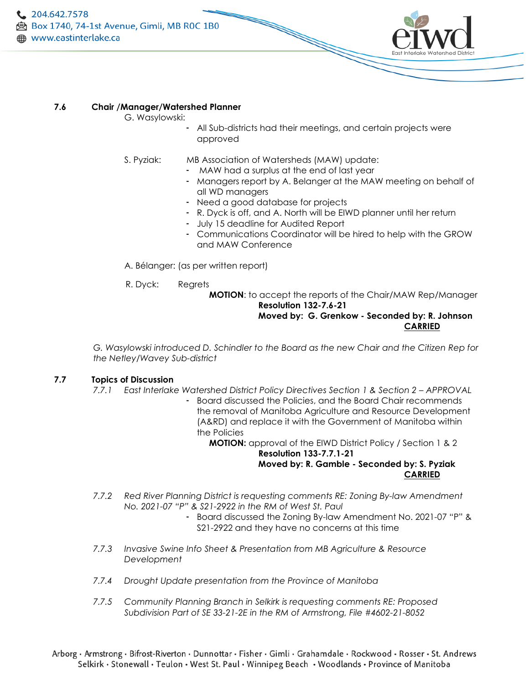

#### **7.6 Chair /Manager/Watershed Planner**

G. Wasylowski:

- All Sub-districts had their meetings, and certain projects were approved

- S. Pyziak: MB Association of Watersheds (MAW) update:
	- MAW had a surplus at the end of last year
	- Managers report by A. Belanger at the MAW meeting on behalf of all WD managers
	- Need a good database for projects
	- R. Dyck is off, and A. North will be EIWD planner until her return
	- July 15 deadline for Audited Report
	- Communications Coordinator will be hired to help with the GROW and MAW Conference

A. Bélanger: (as per written report)

R. Dyck: Regrets

#### **MOTION**: to accept the reports of the Chair/MAW Rep/Manager **Resolution 132-7.6-21 Moved by: G. Grenkow - Seconded by: R. Johnson CARRIED**

*G. Wasylowski introduced D. Schindler to the Board as the new Chair and the Citizen Rep for the Netley/Wavey Sub-district*

#### **7.7 Topics of Discussion**

*7.7.1 East Interlake Watershed District Policy Directives Section 1 & Section 2 – APPROVAL*

- Board discussed the Policies, and the Board Chair recommends the removal of Manitoba Agriculture and Resource Development (A&RD) and replace it with the Government of Manitoba within the Policies

**MOTION:** approval of the EIWD District Policy / Section 1 & 2  **Resolution 133-7.7.1-21**

#### **Moved by: R. Gamble - Seconded by: S. Pyziak CARRIED**

- *7.7.2 Red River Planning District is requesting comments RE: Zoning By-law Amendment No. 2021-07 "P" & S21-2922 in the RM of West St. Paul*
	- Board discussed the Zoning By-law Amendment No. 2021-07 "P" & S21-2922 and they have no concerns at this time
- *7.7.3 Invasive Swine Info Sheet & Presentation from MB Agriculture & Resource Development*
- *7.7.4 Drought Update presentation from the Province of Manitoba*
- *7.7.5 Community Planning Branch in Selkirk is requesting comments RE: Proposed Subdivision Part of SE 33-21-2E in the RM of Armstrong, File #4602-21-8052*

Arborg · Armstrong · Bifrost-Riverton · Dunnottar · Fisher · Gimli · Grahamdale · Rockwood · Rosser · St. Andrews Selkirk · Stonewall · Teulon · West St. Paul · Winnipeg Beach · Woodlands · Province of Manitoba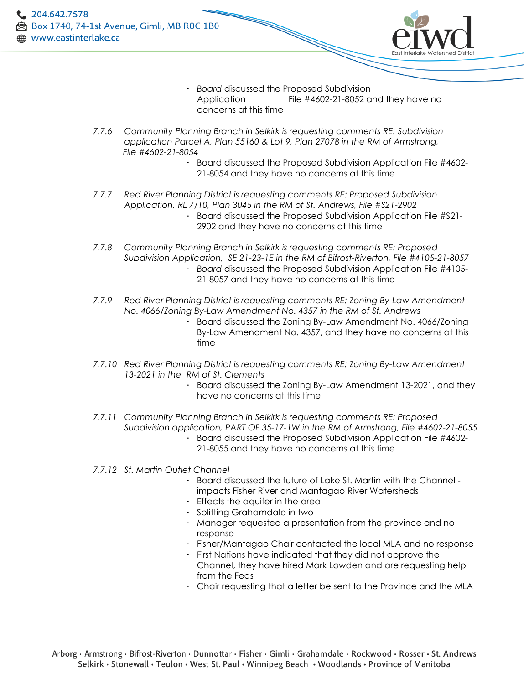

- *Board* discussed the Proposed Subdivision Application File #4602-21-8052 and they have no concerns at this time
- *7.7.6 Community Planning Branch in Selkirk is requesting comments RE: Subdivision application Parcel A, Plan 55160 & Lot 9, Plan 27078 in the RM of Armstrong, File #4602-21-8054*
	- Board discussed the Proposed Subdivision Application File #4602- 21-8054 and they have no concerns at this time
- *7.7.7 Red River Planning District is requesting comments RE: Proposed Subdivision Application, RL 7/10, Plan 3045 in the RM of St. Andrews, File #S21-2902* 
	- Board discussed the Proposed Subdivision Application File #S21- 2902 and they have no concerns at this time
- *7.7.8 Community Planning Branch in Selkirk is requesting comments RE: Proposed Subdivision Application, SE 21-23-1E in the RM of Bifrost-Riverton, File #4105-21-8057* - *Board* discussed the Proposed Subdivision Application File #4105- 21-8057 and they have no concerns at this time
- *7.7.9 Red River Planning District is requesting comments RE: Zoning By-Law Amendment No. 4066/Zoning By-Law Amendment No. 4357 in the RM of St. Andrews*
	- Board discussed the Zoning By-Law Amendment No. 4066/Zoning By-Law Amendment No. 4357, and they have no concerns at this time
- *7.7.10 Red River Planning District is requesting comments RE: Zoning By-Law Amendment 13-2021 in the RM of St. Clements*
	- Board discussed the Zoning By-Law Amendment 13-2021, and they have no concerns at this time
- *7.7.11 Community Planning Branch in Selkirk is requesting comments RE: Proposed Subdivision application, PART OF 35-17-1W in the RM of Armstrong, File #4602-21-8055* - Board discussed the Proposed Subdivision Application File #4602-
	- 21-8055 and they have no concerns at this time
- *7.7.12 St. Martin Outlet Channel*
	- Board discussed the future of Lake St. Martin with the Channel impacts Fisher River and Mantagao River Watersheds
	- Effects the aquifer in the area
	- Splitting Grahamdale in two
	- Manager requested a presentation from the province and no response
	- Fisher/Mantagao Chair contacted the local MLA and no response
	- First Nations have indicated that they did not approve the Channel, they have hired Mark Lowden and are requesting help from the Feds
	- Chair requesting that a letter be sent to the Province and the MLA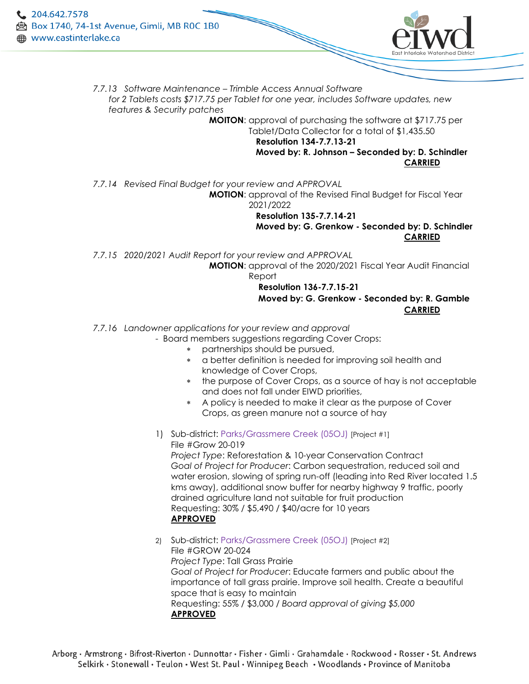

*7.7.13 Software Maintenance – Trimble Access Annual Software for 2 Tablets costs \$717.75 per Tablet for one year, includes Software updates, new features & Security patches*

> **MOITON**: approval of purchasing the software at \$717.75 per Tablet/Data Collector for a total of \$1,435.50

> > **Resolution 134-7.7.13-21 Moved by: R. Johnson – Seconded by: D. Schindler CARRIED**

*7.7.14 Revised Final Budget for your review and APPROVAL*

**MOTION**: approval of the Revised Final Budget for Fiscal Year

2021/2022

 **Resolution 135-7.7.14-21 Moved by: G. Grenkow - Seconded by: D. Schindler CARRIED**

*7.7.15 2020/2021 Audit Report for your review and APPROVAL*

**MOTION**: approval of the 2020/2021 Fiscal Year Audit Financial

Report

#### **Resolution 136-7.7.15-21 Moved by: G. Grenkow - Seconded by: R. Gamble CARRIED**

- *7.7.16 Landowner applications for your review and approval*
	- Board members suggestions regarding Cover Crops:
		- partnerships should be pursued,
		- a better definition is needed for improving soil health and knowledge of Cover Crops,
		- ∗ the purpose of Cover Crops, as a source of hay is not acceptable and does not fall under EIWD priorities,
		- ∗ A policy is needed to make it clear as the purpose of Cover Crops, as green manure not a source of hay
		- 1) Sub-district: Parks/Grassmere Creek (05OJ) [Project #1] File #Grow 20-019

*Project Type*: Reforestation & 10-year Conservation Contract *Goal of Project for Producer*: Carbon sequestration, reduced soil and water erosion, slowing of spring run-off (leading into Red River located 1.5 kms away), additional snow buffer for nearby highway 9 traffic, poorly drained agriculture land not suitable for fruit production Requesting: 30% / \$5,490 / \$40/acre for 10 years **APPROVED**

2) Sub-district: Parks/Grassmere Creek (05OJ) [Project #2] File #GROW 20-024 *Project Type*: Tall Grass Prairie *Goal of Project for Producer*: Educate farmers and public about the importance of tall grass prairie. Improve soil health. Create a beautiful space that is easy to maintain Requesting: 55% / \$3,000 / *Board approval of giving \$5,000* **APPROVED**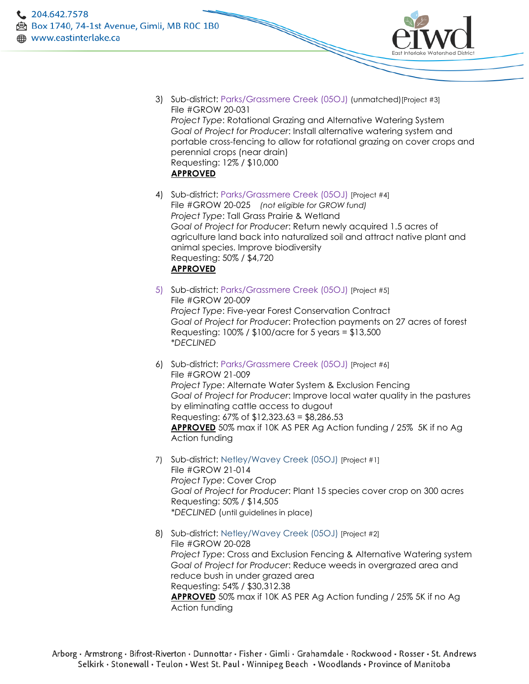C 204.642.7578 **良** Box 1740, 74-1st Avenue, Gimli, MB R0C 1B0 www.eastinterlake.ca



- 3) Sub-district: Parks/Grassmere Creek (05OJ) (unmatched)[Project #3] File #GROW 20-031 *Project Type*: Rotational Grazing and Alternative Watering System *Goal of Project for Producer*: Install alternative watering system and portable cross-fencing to allow for rotational grazing on cover crops and perennial crops (near drain) Requesting: 12% / \$10,000 **APPROVED**
- 4) Sub-district: Parks/Grassmere Creek (05OJ) [Project #4] File #GROW 20-025 *(not eligible for GROW fund) Project Type*: Tall Grass Prairie & Wetland *Goal of Project for Producer*: Return newly acquired 1.5 acres of agriculture land back into naturalized soil and attract native plant and animal species. Improve biodiversity Requesting: 50% / \$4,720 **APPROVED**
- 5) Sub-district: Parks/Grassmere Creek (05OJ) [Project #5] File #GROW 20-009 *Project Type*: Five-year Forest Conservation Contract *Goal of Project for Producer*: Protection payments on 27 acres of forest Requesting: 100% / \$100/acre for 5 years = \$13,500 *\*DECLINED*
- 6) Sub-district: Parks/Grassmere Creek (05OJ) [Project #6] File #GROW 21-009 *Project Type*: Alternate Water System & Exclusion Fencing *Goal of Project for Producer*: Improve local water quality in the pastures by eliminating cattle access to dugout Requesting: 67% of \$12,323.63 = \$8,286.53 **APPROVED** 50% max if 10K AS PER Ag Action funding / 25% 5K if no Ag Action funding
- 7) Sub-district: Netley/Wavey Creek (05OJ) [Project #1] File #GROW 21-014 *Project Type*: Cover Crop *Goal of Project for Producer*: Plant 15 species cover crop on 300 acres Requesting: 50% / \$14,505 *\*DECLINED* (until guidelines in place)
- 8) Sub-district: Netley/Wavey Creek (05OJ) [Project #2] File #GROW 20-028 *Project Type*: Cross and Exclusion Fencing & Alternative Watering system *Goal of Project for Producer*: Reduce weeds in overgrazed area and reduce bush in under grazed area Requesting: 54% / \$30,312.38 **APPROVED** 50% max if 10K AS PER Ag Action funding / 25% 5K if no Ag Action funding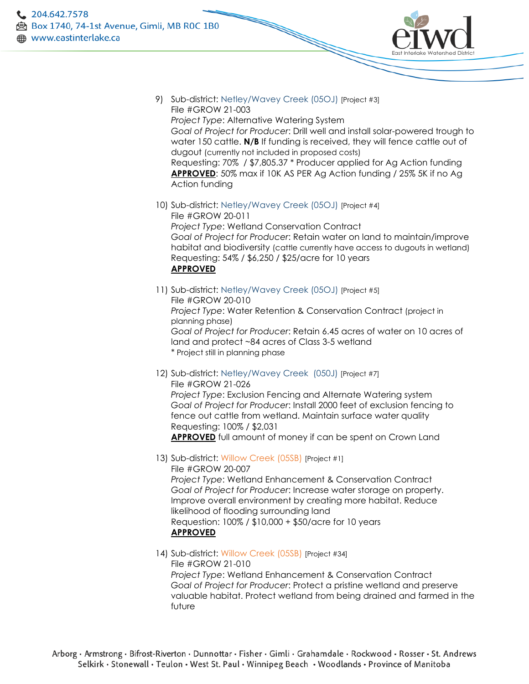

- 9) Sub-district: Netley/Wavey Creek (05OJ) [Project #3] File #GROW 21-003 *Project Type*: Alternative Watering System *Goal of Project for Producer*: Drill well and install solar-powered trough to water 150 cattle. **N/B** If funding is received, they will fence cattle out of dugout (currently not included in proposed costs) Requesting: 70% / \$7,805.37 \* Producer applied for Ag Action funding **APPROVED**: 50% max if 10K AS PER Ag Action funding / 25% 5K if no Ag Action funding
- 10) Sub-district: Netley/Wavey Creek (05OJ) [Project #4] File #GROW 20-011 *Project Type*: Wetland Conservation Contract *Goal of Project for Producer*: Retain water on land to maintain/improve habitat and biodiversity (cattle currently have access to dugouts in wetland) Requesting: 54% / \$6,250 / \$25/acre for 10 years **APPROVED**
- 11) Sub-district: Netley/Wavey Creek (05OJ) [Project #5] File #GROW 20-010 *Project Type*: Water Retention & Conservation Contract (project in planning phase) *Goal of Project for Producer*: Retain 6.45 acres of water on 10 acres of land and protect ~84 acres of Class 3-5 wetland \* Project still in planning phase
- 12) Sub-district: Netley/Wavey Creek (050J) [Project #7] File #GROW 21-026

*Project Type*: Exclusion Fencing and Alternate Watering system *Goal of Project for Producer*: Install 2000 feet of exclusion fencing to fence out cattle from wetland. Maintain surface water quality Requesting: 100% / \$2,031

**APPROVED** full amount of money if can be spent on Crown Land

- 13) Sub-district: Willow Creek (05SB) [Project #1] File #GROW 20-007 *Project Type*: Wetland Enhancement & Conservation Contract *Goal of Project for Producer*: Increase water storage on property. Improve overall environment by creating more habitat. Reduce likelihood of flooding surrounding land Requestion: 100% / \$10,000 + \$50/acre for 10 years **APPROVED**
- 14) Sub-district: Willow Creek (05SB) [Project #34] File #GROW 21-010 *Project Type*: Wetland Enhancement & Conservation Contract *Goal of Project for Producer*: Protect a pristine wetland and preserve valuable habitat. Protect wetland from being drained and farmed in the future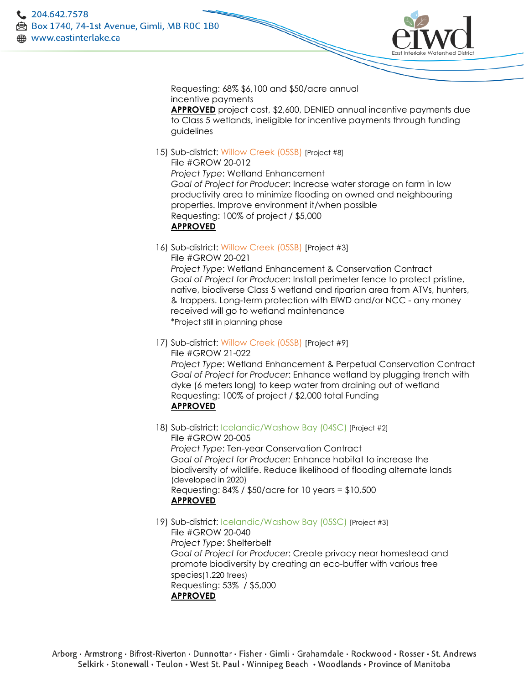C 204.642.7578 **良** Box 1740, 74-1st Avenue, Gimli, MB R0C 1B0 **external www.eastinterlake.ca** 



Requesting: 68% \$6,100 and \$50/acre annual incentive payments

**APPROVED** project cost, \$2,600, DENIED annual incentive payments due to Class 5 wetlands, ineligible for incentive payments through funding guidelines

15) Sub-district: Willow Creek (05SB) [Project #8] File #GROW 20-012

*Project Type*: Wetland Enhancement *Goal of Project for Producer*: Increase water storage on farm in low productivity area to minimize flooding on owned and neighbouring properties. Improve environment it/when possible Requesting: 100% of project / \$5,000 **APPROVED**

16) Sub-district: Willow Creek (05SB) [Project #3] File #GROW 20-021

*Project Type*: Wetland Enhancement & Conservation Contract *Goal of Project for Producer*: Install perimeter fence to protect pristine, native, biodiverse Class 5 wetland and riparian area from ATVs, hunters, & trappers. Long-term protection with EIWD and/or NCC - any money received will go to wetland maintenance \*Project still in planning phase

17) Sub-district: Willow Creek (05SB) [Project #9] File #GROW 21-022

*Project Type*: Wetland Enhancement & Perpetual Conservation Contract *Goal of Project for Producer*: Enhance wetland by plugging trench with dyke (6 meters long) to keep water from draining out of wetland Requesting: 100% of project / \$2,000 total Funding **APPROVED**

- 18) Sub-district: Icelandic/Washow Bay (04SC) [Project #2] File #GROW 20-005 *Project Type*: Ten-year Conservation Contract *Goal of Project for Producer:* Enhance habitat to increase the biodiversity of wildlife. Reduce likelihood of flooding alternate lands (developed in 2020) Requesting: 84% / \$50/acre for 10 years = \$10,500 **APPROVED**
- 19) Sub-district: Icelandic/Washow Bay (05SC) [Project #3] File #GROW 20-040 *Project Type*: Shelterbelt *Goal of Project for Producer*: Create privacy near homestead and promote biodiversity by creating an eco-buffer with various tree species(1,220 trees) Requesting: 53% / \$5,000 **APPROVED**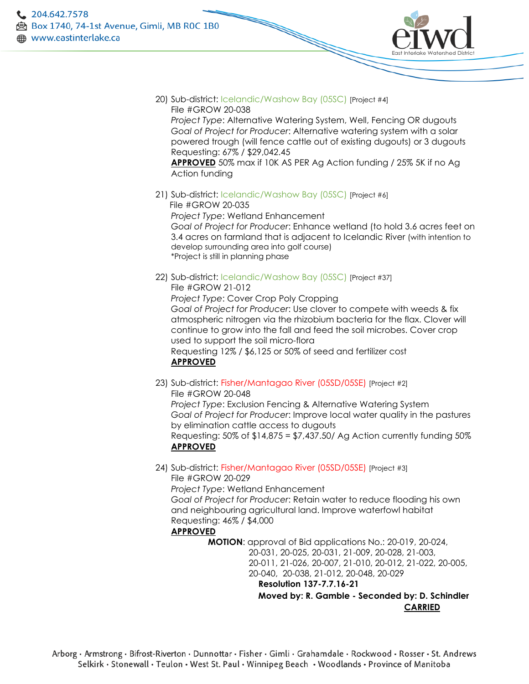

20) Sub-district: Icelandic/Washow Bay (05SC) [Project #4] File #GROW 20-038 *Project Type*: Alternative Watering System, Well, Fencing OR dugouts *Goal of Project for Producer*: Alternative watering system with a solar powered trough (will fence cattle out of existing dugouts) or 3 dugouts Requesting: 67% / \$29,042.45 **APPROVED** 50% max if 10K AS PER Ag Action funding / 25% 5K if no Ag

Action funding

- 21) Sub-district: Icelandic/Washow Bay (05SC) [Project #6] File #GROW 20-035 *Project Type*: Wetland Enhancement *Goal of Project for Producer*: Enhance wetland (to hold 3.6 acres feet on 3.4 acres on farmland that is adjacent to Icelandic River (with intention to develop surrounding area into golf course) \*Project is still in planning phase
- 22) Sub-district: Icelandic/Washow Bay (05SC) [Project #37] File #GROW 21-012 *Project Type*: Cover Crop Poly Cropping *Goal of Project for Producer*: Use clover to compete with weeds & fix atmospheric nitrogen via the rhizobium bacteria for the flax. Clover will continue to grow into the fall and feed the soil microbes. Cover crop used to support the soil micro-flora Requesting 12% / \$6,125 or 50% of seed and fertilizer cost **APPROVED**
- 23) Sub-district: Fisher/Mantagao River (05SD/05SE) [Project #2] File #GROW 20-048 *Project Type*: Exclusion Fencing & Alternative Watering System

*Goal of Project for Producer*: Improve local water quality in the pastures by elimination cattle access to dugouts

Requesting: 50% of \$14,875 = \$7,437.50/ Ag Action currently funding 50% **APPROVED**

24) Sub-district: Fisher/Mantagao River (05SD/05SE) [Project #3]

File #GROW 20-029 *Project Type*: Wetland Enhancement *Goal of Project for Producer*: Retain water to reduce flooding his own and neighbouring agricultural land. Improve waterfowl habitat Requesting: 46% / \$4,000

**APPROVED**

**MOTION**: approval of Bid applications No.: 20-019, 20-024, 20-031, 20-025, 20-031, 21-009, 20-028, 21-003, 20-011, 21-026, 20-007, 21-010, 20-012, 21-022, 20-005, 20-040, 20-038, 21-012, 20-048, 20-029

 **Resolution 137-7.7.16-21 Moved by: R. Gamble - Seconded by: D. Schindler CARRIED**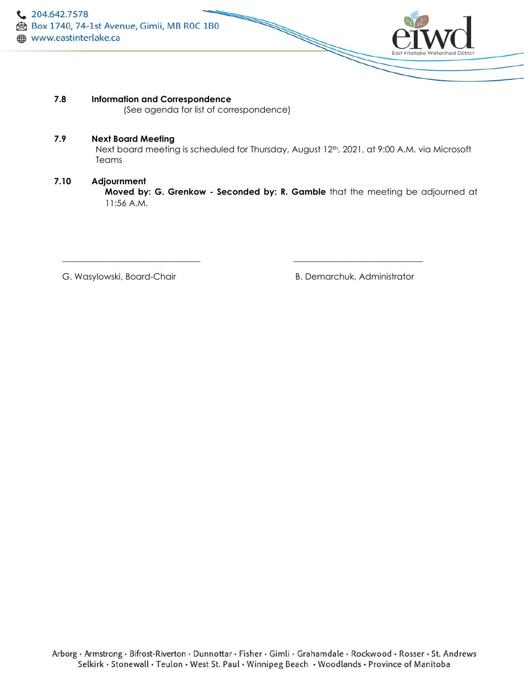

#### **7.8 Information and Correspondence**

(See agenda for list of correspondence)

#### **7.9 Next Board Meeting**

Next board meeting is scheduled for Thursday, August 12<sup>th</sup>, 2021, at 9:00 A.M. via Microsoft Teams

#### **7.10 Adjournment**

**Moved by: G. Grenkow - Seconded by: R. Gamble** that the meeting be adjourned at 11:56 A.M.

 $\frac{1}{2}$  ,  $\frac{1}{2}$  ,  $\frac{1}{2}$  ,  $\frac{1}{2}$  ,  $\frac{1}{2}$  ,  $\frac{1}{2}$  ,  $\frac{1}{2}$  ,  $\frac{1}{2}$  ,  $\frac{1}{2}$  ,  $\frac{1}{2}$  ,  $\frac{1}{2}$  ,  $\frac{1}{2}$  ,  $\frac{1}{2}$  ,  $\frac{1}{2}$  ,  $\frac{1}{2}$  ,  $\frac{1}{2}$  ,  $\frac{1}{2}$  ,  $\frac{1}{2}$  ,  $\frac{1$ 

G. Wasylowski, Board-Chair **B. Demarchuk, Administrator** B. Demarchuk, Administrator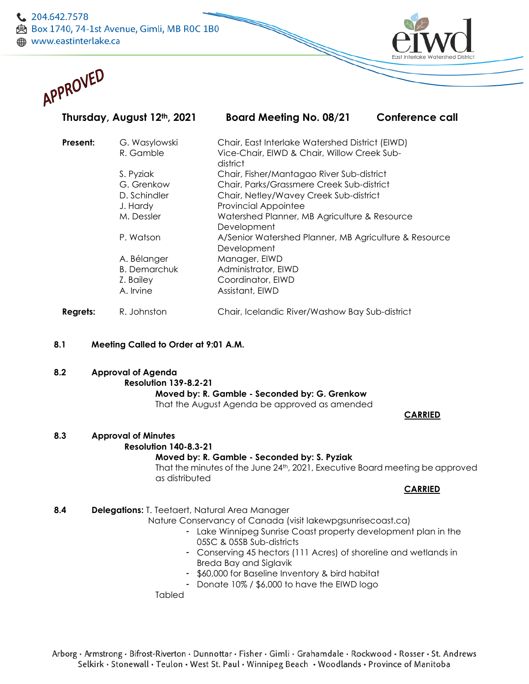



# **Thursday, August 12th, 2021 Board Meeting No. 08/21 Conference call**

| Present: | G. Wasylowski       | Chair, East Interlake Watershed District (EIWD)         |
|----------|---------------------|---------------------------------------------------------|
|          | R. Gamble           | Vice-Chair, EIWD & Chair, Willow Creek Sub-<br>district |
|          | S. Pyziak           | Chair, Fisher/Mantagao River Sub-district               |
|          | G. Grenkow          | Chair, Parks/Grassmere Creek Sub-district               |
|          | D. Schindler        | Chair, Netley/Wavey Creek Sub-district                  |
|          | J. Hardy            | <b>Provincial Appointee</b>                             |
|          | M. Dessler          | Watershed Planner, MB Agriculture & Resource            |
|          |                     | Development                                             |
|          | P. Watson           | A/Senior Watershed Planner, MB Agriculture & Resource   |
|          |                     | Development                                             |
|          | A. Bélanger         | Manager, EIWD                                           |
|          | <b>B.</b> Demarchuk | Administrator, EIWD                                     |
|          | Z. Bailey           | Coordinator, EIWD                                       |
|          | A. Irvine           | Assistant, EIWD                                         |
| Regrets: | R. Johnston         | Chair, Icelandic River/Washow Bay Sub-district          |

- **8.1 Meeting Called to Order at 9:01 A.M.**
- **8.2 Approval of Agenda**
	- **Resolution 139-8.2-21**

# **Moved by: R. Gamble - Seconded by: G. Grenkow**

That the August Agenda be approved as amended

 **CARRIED** 

#### **8.3 Approval of Minutes**

#### **Resolution 140-8.3-21**

#### **Moved by: R. Gamble - Seconded by: S. Pyziak**

That the minutes of the June 24th, 2021, Executive Board meeting be approved as distributed

#### **CARRIED**

**8.4 Delegations:** T. Teetaert, Natural Area Manager Nature Conservancy of Canada (visit lakewpgsunrisecoast.ca)

- Lake Winnipeg Sunrise Coast property development plan in the 05SC & 05SB Sub-districts
- Conserving 45 hectors (111 Acres) of shoreline and wetlands in Breda Bay and Siglavik
- \$60,000 for Baseline Inventory & bird habitat
- Donate 10% / \$6,000 to have the EIWD logo

Tabled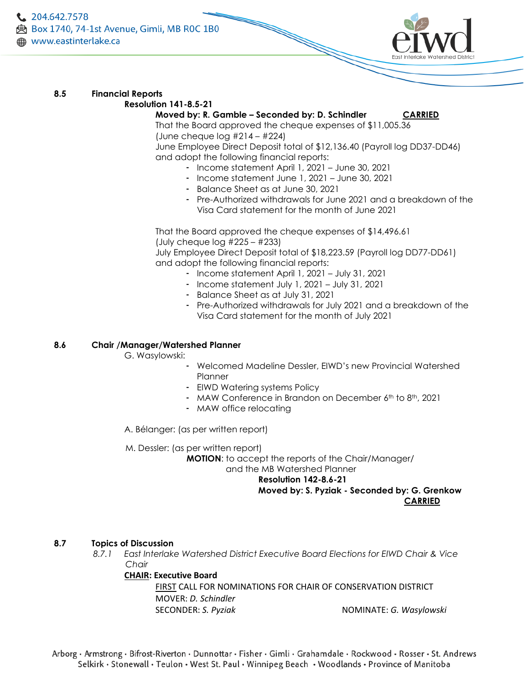#### **8.5 Financial Reports**

#### **Resolution 141-8.5-21**

#### **Moved by: R. Gamble – Seconded by: D. Schindler CARRIED**

That the Board approved the cheque expenses of \$11,005.36 (June cheque log #214 – #224) June Employee Direct Deposit total of \$12,136.40 (Payroll log DD37-DD46)

and adopt the following financial reports:

- Income statement April 1, 2021 June 30, 2021
- Income statement June 1, 2021 June 30, 2021
- Balance Sheet as at June 30, 2021
- Pre-Authorized withdrawals for June 2021 and a breakdown of the Visa Card statement for the month of June 2021

That the Board approved the cheque expenses of \$14,496.61 (July cheque log #225 – #233) July Employee Direct Deposit total of \$18,223.59 (Payroll log DD77-DD61) and adopt the following financial reports:

- Income statement April 1, 2021 July 31, 2021
- Income statement July 1, 2021 July 31, 2021
- Balance Sheet as at July 31, 2021
- Pre-Authorized withdrawals for July 2021 and a breakdown of the Visa Card statement for the month of July 2021

#### **8.6 Chair /Manager/Watershed Planner**

G. Wasylowski:

- Welcomed Madeline Dessler, EIWD's new Provincial Watershed Planner
- EIWD Watering systems Policy
- MAW Conference in Brandon on December 6th to 8th, 2021
- MAW office relocating

A. Bélanger: (as per written report)

M. Dessler: (as per written report)

**MOTION**: to accept the reports of the Chair/Manager/

# and the MB Watershed Planner

### **Resolution 142-8.6-21**

#### **Moved by: S. Pyziak - Seconded by: G. Grenkow CARRIED**

#### **8.7 Topics of Discussion**

*8.7.1 East Interlake Watershed District Executive Board Elections for EIWD Chair & Vice Chair*

#### **CHAIR: Executive Board**

FIRST CALL FOR NOMINATIONS FOR CHAIR OF CONSERVATION DISTRICT MOVER: *D. Schindler* SECONDER: *S. Pyziak* NOMINATE: *G. Wasylowski*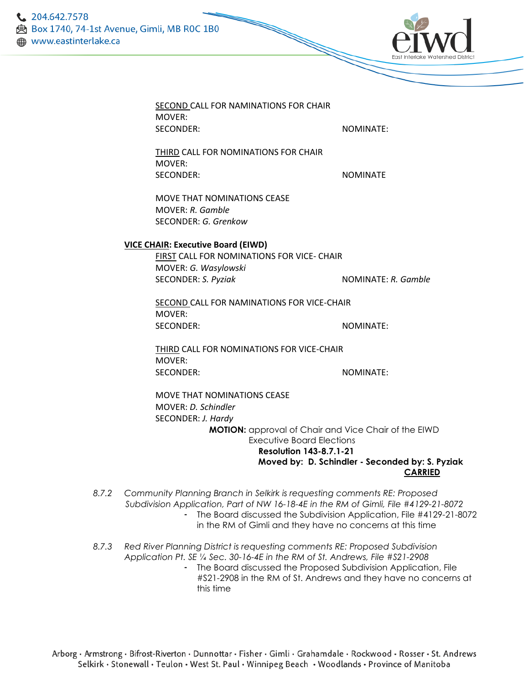

| SECOND CALL FOR NAMINATIONS FOR CHAIR                       |                                                 |
|-------------------------------------------------------------|-------------------------------------------------|
| MOVER:                                                      |                                                 |
| <b>SECONDER:</b>                                            | NOMINATE:                                       |
|                                                             |                                                 |
| THIRD CALL FOR NOMINATIONS FOR CHAIR<br>MOVER:              |                                                 |
| <b>SECONDER:</b>                                            | <b>NOMINATE</b>                                 |
|                                                             |                                                 |
| MOVE THAT NOMINATIONS CEASE                                 |                                                 |
| MOVER: R. Gamble                                            |                                                 |
| SECONDER: G. Grenkow                                        |                                                 |
|                                                             |                                                 |
| <b>VICE CHAIR: Executive Board (EIWD)</b>                   |                                                 |
| FIRST CALL FOR NOMINATIONS FOR VICE- CHAIR                  |                                                 |
| MOVER: G. Wasylowski                                        |                                                 |
| SECONDER: S. Pyziak                                         | NOMINATE: R. Gamble                             |
| SECOND CALL FOR NAMINATIONS FOR VICE-CHAIR                  |                                                 |
| MOVER:                                                      |                                                 |
| <b>SECONDER:</b>                                            | NOMINATE:                                       |
|                                                             |                                                 |
| THIRD CALL FOR NOMINATIONS FOR VICE-CHAIR                   |                                                 |
| MOVER:                                                      |                                                 |
| <b>SECONDER:</b>                                            | NOMINATE:                                       |
| MOVE THAT NOMINATIONS CEASE                                 |                                                 |
| MOVER: D. Schindler                                         |                                                 |
| SECONDER: J. Hardy                                          |                                                 |
| <b>MOTION:</b> approval of Chair and Vice Chair of the EIWD |                                                 |
| Executive Board Elections                                   |                                                 |
| <b>Resolution 143-8.7.1-21</b>                              |                                                 |
|                                                             | Moved by: D. Schindler - Seconded by: S. Pyziak |
|                                                             | <b>CARRIED</b>                                  |

- *8.7.2 Community Planning Branch in Selkirk is requesting comments RE: Proposed Subdivision Application, Part of NW 16-18-4E in the RM of Gimli, File #4129-21-8072* - The Board discussed the Subdivision Application, File #4129-21-8072
	- in the RM of Gimli and they have no concerns at this time
- *8.7.3 Red River Planning District is requesting comments RE: Proposed Subdivision Application Pt. SE ¼ Sec. 30-16-4E in the RM of St. Andrews, File #S21-2908* - The Board discussed the Proposed Subdivision Application, File #S21-2908 in the RM of St. Andrews and they have no concerns at this time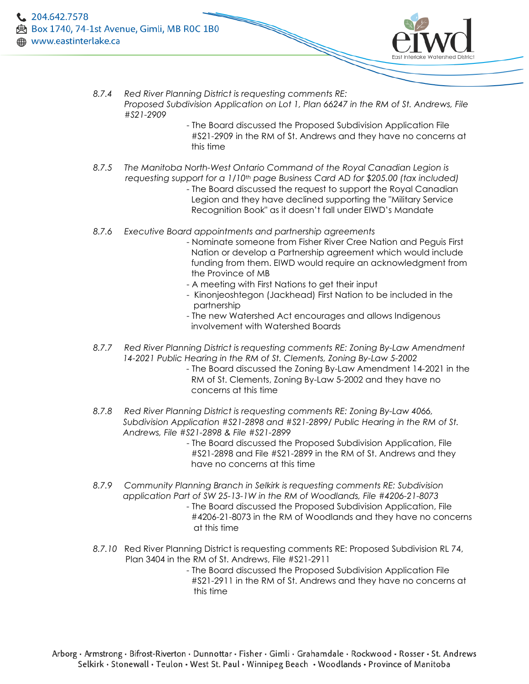- *8.7.4 Red River Planning District is requesting comments RE: Proposed Subdivision Application on Lot 1, Plan 66247 in the RM of St. Andrews, File #S21-2909*
	- The Board discussed the Proposed Subdivision Application File #S21-2909 in the RM of St. Andrews and they have no concerns at this time
- *8.7.5 The Manitoba North-West Ontario Command of the Royal Canadian Legion is requesting support for a 1/10th page Business Card AD for \$205.00 (tax included)* - The Board discussed the request to support the Royal Canadian Legion and they have declined supporting the "Military Service Recognition Book" as it doesn't fall under EIWD's Mandate
- *8.7.6 Executive Board appointments and partnership agreements*
	- Nominate someone from Fisher River Cree Nation and Peguis First Nation or develop a Partnership agreement which would include funding from them. EIWD would require an acknowledgment from the Province of MB
	- A meeting with First Nations to get their input
	- Kinonjeoshtegon (Jackhead) First Nation to be included in the partnership
	- The new Watershed Act encourages and allows Indigenous involvement with Watershed Boards
- *8.7.7 Red River Planning District is requesting comments RE: Zoning By-Law Amendment 14-2021 Public Hearing in the RM of St. Clements, Zoning By-Law 5-2002*
	- *-* The Board discussed the Zoning By-Law Amendment 14-2021 in the RM of St. Clements, Zoning By-Law 5-2002 and they have no concerns at this time
- *8.7.8 Red River Planning District is requesting comments RE: Zoning By-Law 4066, Subdivision Application #S21-2898 and #S21-2899/ Public Hearing in the RM of St. Andrews, File #S21-2898 & File #S21-2899*
	- The Board discussed the Proposed Subdivision Application, File #S21-2898 and File #S21-2899 in the RM of St. Andrews and they have no concerns at this time
- *8.7.9 Community Planning Branch in Selkirk is requesting comments RE: Subdivision application Part of SW 25-13-1W in the RM of Woodlands, File #4206-21-8073* - The Board discussed the Proposed Subdivision Application, File #4206-21-8073 in the RM of Woodlands and they have no concerns at this time
- *8.7.10* Red River Planning District is requesting comments RE: Proposed Subdivision RL 74, Plan 3404 in the RM of St. Andrews, File #S21-2911
	- The Board discussed the Proposed Subdivision Application File #S21-2911 in the RM of St. Andrews and they have no concerns at this time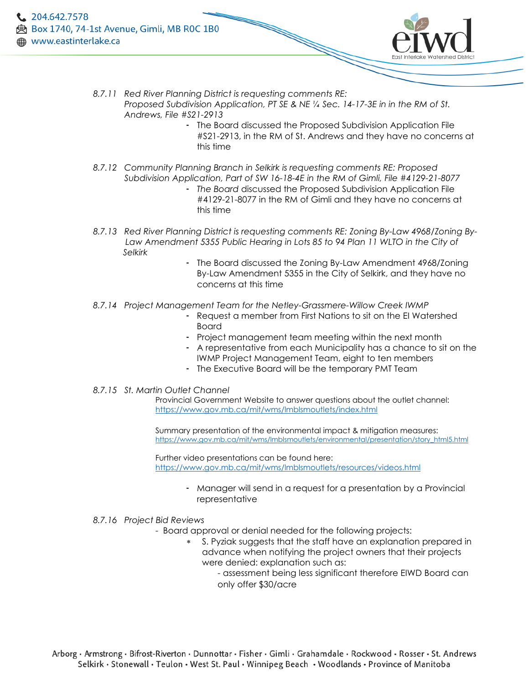

- *8.7.11 Red River Planning District is requesting comments RE: Proposed Subdivision Application, PT SE & NE ¼ Sec. 14-17-3E in in the RM of St. Andrews, File #S21-2913* 
	- The Board discussed the Proposed Subdivision Application File #S21-2913, in the RM of St. Andrews and they have no concerns at this time
- *8.7.12 Community Planning Branch in Selkirk is requesting comments RE: Proposed Subdivision Application, Part of SW 16-18-4E in the RM of Gimli, File #4129-21-8077*
	- *The Board* discussed the Proposed Subdivision Application File #4129-21-8077 in the RM of Gimli and they have no concerns at this time
- *8.7.13 Red River Planning District is requesting comments RE: Zoning By-Law 4968/Zoning By-* Law Amendment 5355 Public Hearing in Lots 85 to 94 Plan 11 WLTO in the City of  *Selkirk*
	- The Board discussed the Zoning By-Law Amendment 4968/Zoning By-Law Amendment 5355 in the City of Selkirk, and they have no concerns at this time
- *8.7.14 Project Management Team for the Netley-Grassmere-Willow Creek IWMP*
	- Request a member from First Nations to sit on the EI Watershed Board
	- Project management team meeting within the next month
	- A representative from each Municipality has a chance to sit on the IWMP Project Management Team, eight to ten members
	- The Executive Board will be the temporary PMT Team
- *8.7.15 St. Martin Outlet Channel*

Provincial Government Website to answer questions about the outlet channel: <https://www.gov.mb.ca/mit/wms/lmblsmoutlets/index.html>

Summary presentation of the environmental impact & mitigation measures: [https://www.gov.mb.ca/mit/wms/lmblsmoutlets/environmental/presentation/story\\_html5.html](https://www.gov.mb.ca/mit/wms/lmblsmoutlets/environmental/presentation/story_html5.html)

Further video presentations can be found here: <https://www.gov.mb.ca/mit/wms/lmblsmoutlets/resources/videos.html>

- Manager will send in a request for a presentation by a Provincial representative
- *8.7.16 Project Bid Reviews*
	- Board approval or denial needed for the following projects:
		- S. Pyziak suggests that the staff have an explanation prepared in advance when notifying the project owners that their projects were denied: explanation such as:
			- assessment being less significant therefore EIWD Board can only offer \$30/acre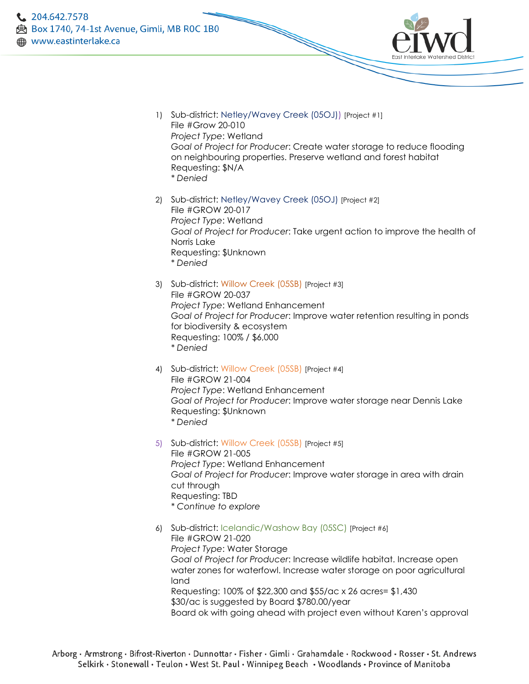



- 2) Sub-district: Netley/Wavey Creek (05OJ) [Project #2] File #GROW 20-017 *Project Type*: Wetland *Goal of Project for Producer*: Take urgent action to improve the health of Norris Lake Requesting: \$Unknown *\* Denied*
- 3) Sub-district: Willow Creek (05SB) [Project #3] File #GROW 20-037 *Project Type*: Wetland Enhancement *Goal of Project for Producer*: Improve water retention resulting in ponds for biodiversity & ecosystem Requesting: 100% / \$6,000 *\* Denied*
- 4) Sub-district: Willow Creek (05SB) [Project #4] File #GROW 21-004 *Project Type*: Wetland Enhancement *Goal of Project for Producer*: Improve water storage near Dennis Lake Requesting: \$Unknown *\* Denied*
- 5) Sub-district: Willow Creek (05SB) [Project #5] File #GROW 21-005 *Project Type*: Wetland Enhancement *Goal of Project for Producer*: Improve water storage in area with drain cut through Requesting: TBD *\* Continue to explore*
- 6) Sub-district: Icelandic/Washow Bay (05SC) [Project #6] File #GROW 21-020 *Project Type*: Water Storage *Goal of Project for Producer*: Increase wildlife habitat. Increase open water zones for waterfowl. Increase water storage on poor agricultural land Requesting: 100% of \$22,300 and \$55/ac x 26 acres= \$1,430 \$30/ac is suggested by Board \$780.00/year Board ok with going ahead with project even without Karen's approval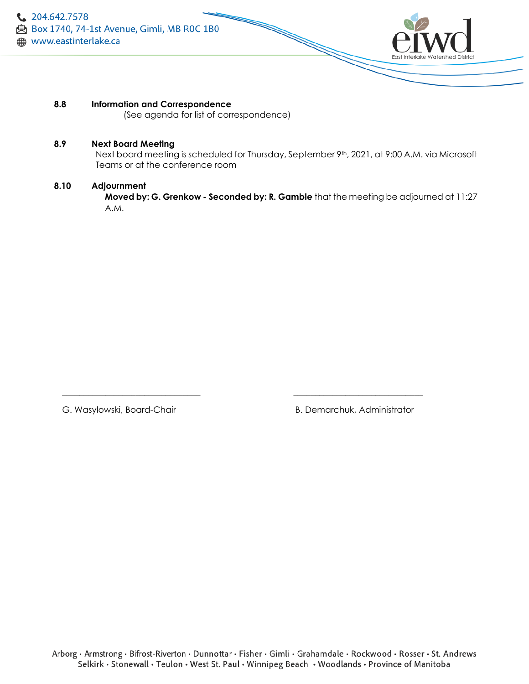

#### **8.8 Information and Correspondence**

(See agenda for list of correspondence)

#### **8.9 Next Board Meeting**

Next board meeting is scheduled for Thursday, September 9<sup>th</sup>, 2021, at 9:00 A.M. via Microsoft Teams or at the conference room

#### **8.10 Adjournment**

**Moved by: G. Grenkow - Seconded by: R. Gamble** that the meeting be adjourned at 11:27 A.M.

G. Wasylowski, Board-Chair **B. Demarchuk, Administrator** B. Demarchuk, Administrator

\_\_\_\_\_\_\_\_\_\_\_\_\_\_\_\_\_\_\_\_\_\_\_\_\_\_\_\_\_\_\_\_ \_\_\_\_\_\_\_\_\_\_\_\_\_\_\_\_\_\_\_\_\_\_\_\_\_\_\_\_\_\_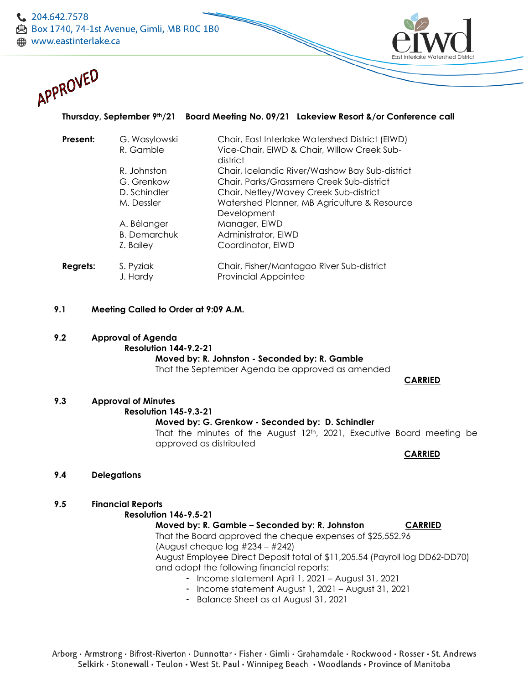

#### **Thursday, September 9th/21 Board Meeting No. 09/21 Lakeview Resort &/or Conference call**

| Present:        | G. Wasylowski       | Chair, East Interlake Watershed District (EIWD)         |
|-----------------|---------------------|---------------------------------------------------------|
|                 | R. Gamble           | Vice-Chair, EIWD & Chair, Willow Creek Sub-<br>district |
|                 | R. Johnston         | Chair, Icelandic River/Washow Bay Sub-district          |
|                 | G. Grenkow          | Chair, Parks/Grassmere Creek Sub-district               |
|                 | D. Schindler        | Chair, Netley/Wavey Creek Sub-district                  |
|                 | M. Dessler          | Watershed Planner, MB Agriculture & Resource            |
|                 |                     | Development                                             |
|                 | A. Bélanger         | Manager, EIWD                                           |
|                 | <b>B.</b> Demarchuk | Administrator, EIWD                                     |
|                 | Z. Bailey           | Coordinator, EIWD                                       |
| <b>Regrets:</b> | S. Pyziak           | Chair, Fisher/Mantagao River Sub-district               |
|                 | J. Hardy            | <b>Provincial Appointee</b>                             |

#### **9.1 Meeting Called to Order at 9:09 A.M.**

**9.2 Approval of Agenda Resolution 144-9.2-21 Moved by: R. Johnston - Seconded by: R. Gamble** That the September Agenda be approved as amended

 **CARRIED** 

#### **9.3 Approval of Minutes**

**Resolution 145-9.3-21**

#### **Moved by: G. Grenkow - Seconded by: D. Schindler**

That the minutes of the August 12<sup>th</sup>, 2021, Executive Board meeting be approved as distributed

**CARRIED**

#### **9.4 Delegations**

#### **9.5 Financial Reports**

**Resolution 146-9.5-21**

# **Moved by: R. Gamble – Seconded by: R. Johnston CARRIED**

That the Board approved the cheque expenses of \$25,552.96 (August cheque log #234 – #242)

August Employee Direct Deposit total of \$11,205.54 (Payroll log DD62-DD70) and adopt the following financial reports:

- Income statement April 1, 2021 August 31, 2021
- Income statement August 1, 2021 August 31, 2021
- Balance Sheet as at August 31, 2021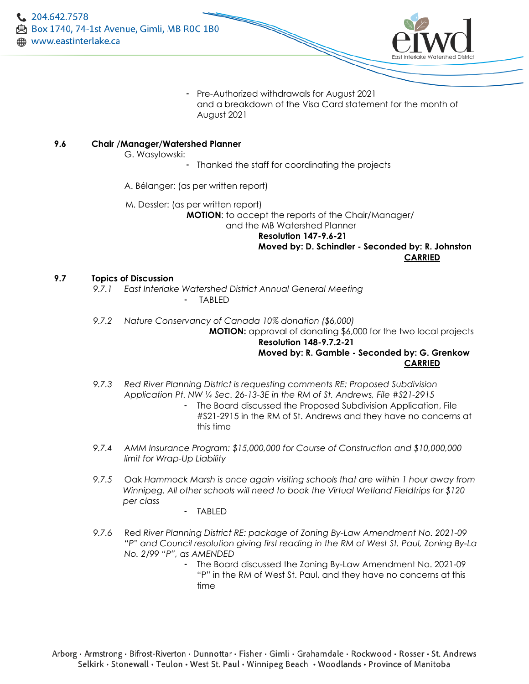

- Pre-Authorized withdrawals for August 2021 and a breakdown of the Visa Card statement for the month of August 2021

#### **9.6 Chair /Manager/Watershed Planner**

G. Wasylowski:

- Thanked the staff for coordinating the projects

A. Bélanger: (as per written report)

M. Dessler: (as per written report)

**MOTION**: to accept the reports of the Chair/Manager/ and the MB Watershed Planner **Resolution 147-9.6-21 Moved by: D. Schindler - Seconded by: R. Johnston CARRIED**

#### **9.7 Topics of Discussion**

- *9.7.1 East Interlake Watershed District Annual General Meeting* - TABLED
- *9.7.2 Nature Conservancy of Canada 10% donation (\$6,000)* **MOTION:** approval of donating \$6,000 for the two local projects

#### **Resolution 148-9.7.2-21 Moved by: R. Gamble - Seconded by: G. Grenkow CARRIED**

- *9.7.3 Red River Planning District is requesting comments RE: Proposed Subdivision Application Pt. NW ¼ Sec. 26-13-3E in the RM of St. Andrews, File #S21-2915*
	- The Board discussed the Proposed Subdivision Application, File #S21-2915 in the RM of St. Andrews and they have no concerns at this time
- *9.7.4 AMM Insurance Program: \$15,000,000 for Course of Construction and \$10,000,000 limit for Wrap-Up Liability*
- *9.7.5* Oak *Hammock Marsh is once again visiting schools that are within 1 hour away from Winnipeg. All other schools will need to book the Virtual Wetland Fieldtrips for \$120 per class*
	- *T*ABLED
- *9.7.6* Red *River Planning District RE: package of Zoning By-Law Amendment No. 2021-09 "P" and Council resolution giving first reading in the RM of West St. Paul, Zoning By-La No. 2/99 "P", as AMENDED*
	- The Board discussed the Zoning By-Law Amendment No. 2021-09 "P" in the RM of West St. Paul, and they have no concerns at this time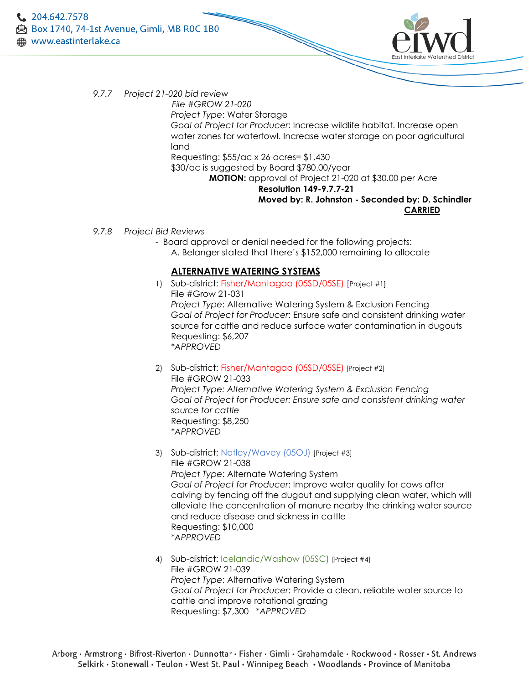

*9.7.7 Project 21-020 bid review*

 *File #GROW 21-020 Project Type*: Water Storage *Goal of Project for Producer*: Increase wildlife habitat. Increase open water zones for waterfowl. Increase water storage on poor agricultural land Requesting: \$55/ac x 26 acres= \$1,430 \$30/ac is suggested by Board \$780.00/year **MOTION:** approval of Project 21-020 at \$30.00 per Acre

> **Resolution 149-9.7.7-21 Moved by: R. Johnston - Seconded by: D. Schindler**

**CARRIED**

- *9.7.8 Project Bid Reviews*
	- Board approval or denial needed for the following projects: A. Belanger stated that there's \$152,000 remaining to allocate

#### **ALTERNATIVE WATERING SYSTEMS**

- 1) Sub-district: Fisher/Mantagao (05SD/05SE) [Project #1] File #Grow 21-031 *Project Type*: Alternative Watering System & Exclusion Fencing *Goal of Project for Producer*: Ensure safe and consistent drinking water source for cattle and reduce surface water contamination in dugouts Requesting: \$6,207 *\*APPROVED*
- 2) Sub-district: Fisher/Mantagao (05SD/05SE) [Project #2] File #GROW 21-033 *Project Type: Alternative Watering System & Exclusion Fencing Goal of Project for Producer: Ensure safe and consistent drinking water source for cattle* Requesting: \$8,250 *\*APPROVED*
- 3) Sub-district: Netley/Wavey (05OJ) [Project #3] File #GROW 21-038 *Project Type*: Alternate Watering System *Goal of Project for Producer*: Improve water quality for cows after calving by fencing off the dugout and supplying clean water, which will alleviate the concentration of manure nearby the drinking water source and reduce disease and sickness in cattle Requesting: \$10,000 *\*APPROVED*
- 4) Sub-district: Icelandic/Washow (05SC) [Project #4] File #GROW 21-039 *Project Type*: Alternative Watering System *Goal of Project for Producer*: Provide a clean, reliable water source to cattle and improve rotational grazing Requesting: \$7,300 *\*APPROVED*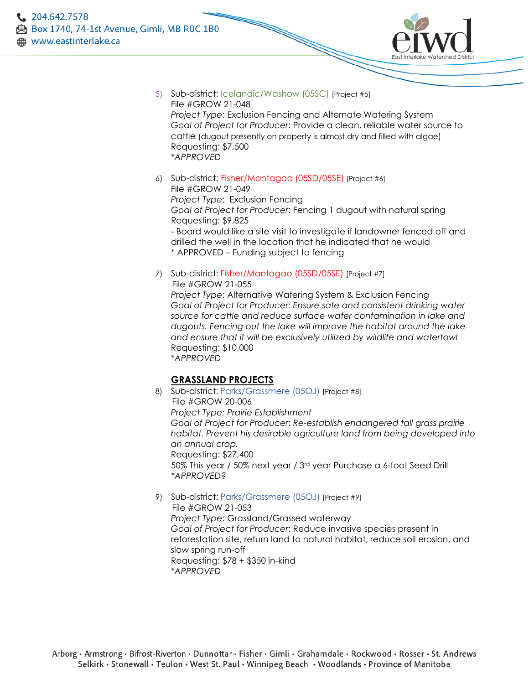$204.642.7578$ **A** Box 1740, 74-1st Avenue, Gimli, MB ROC 1B0 **4 www.eastinterlake.ca** 



- 5) Sub-district: Icelandic/Washow (05SC) [Project #5] File #GROW 21-048 *Project Type*: Exclusion Fencing and Alternate Watering System *Goal of Project for Producer*: Provide a clean, reliable water source to cattle (dugout presently on property is almost dry and filled with algae) Requesting: \$7,500 *\*APPROVED*
- 6) Sub-district: Fisher/Mantagao (05SD/05SE) [Project #6] File #GROW 21-049 *Project Type*: Exclusion Fencing *Goal of Project for Producer*: Fencing 1 dugout with natural spring Requesting: \$9,825 - Board would like a site visit to investigate if landowner fenced off and drilled the well in the location that he indicated that he would

\* APPROVED – Funding subject to fencing

7) Sub-district: Fisher/Mantagao (05SD/05SE) [Project #7] File #GROW 21-055 *Project Type*: Alternative Watering System & Exclusion Fencing *Goal of Project for Producer: Ensure safe and consistent drinking water source for cattle and reduce surface water contamination in lake and dugouts. Fencing out the lake will improve the habitat around the lake and ensure that it will be exclusively utilized by wildlife and waterfowl* Requesting: \$10,000 *\*APPROVED*

# **GRASSLAND PROJECTS**

- 8) Sub-district: Parks/Grassmere (05OJ) [Project #8] File #GROW 20-006 *Project Type: Prairie Establishment Goal of Project for Producer*: *Re-establish endangered tall grass prairie habitat. Prevent his desirable agriculture land from being developed into an annual crop.* Requesting: \$27,400 50% This year / 50% next year / 3rd year Purchase a 6-foot Seed Drill *\*APPROVED?*
- 9) Sub-district: Parks/Grassmere (05OJ) [Project #9] File #GROW 21-053 *Project Type*: Grassland/Grassed waterway *Goal of Project for Producer*: Reduce invasive species present in reforestation site, return land to natural habitat, reduce soil erosion, and slow spring run-off Requesting: \$78 + \$350 in-kind *\*APPROVED*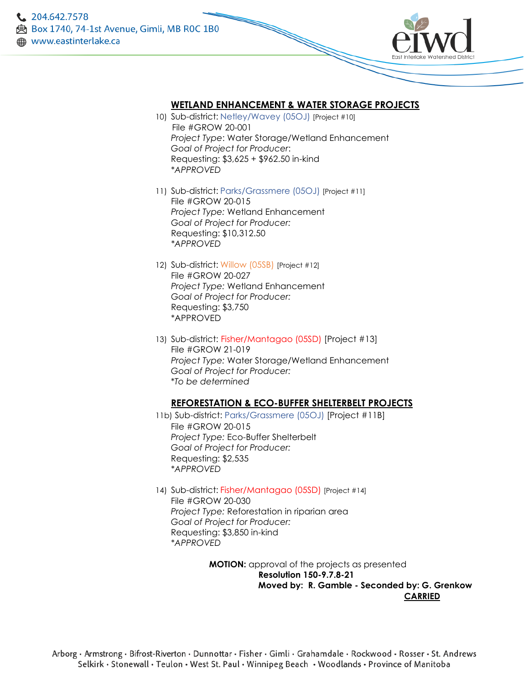$204.642.7578$ **A** Box 1740, 74-1st Avenue, Gimli, MB ROC 1B0 **<sup>49</sup> www.eastinterlake.ca** 



#### **WETLAND ENHANCEMENT & WATER STORAGE PROJECTS**

- 10) Sub-district: Netley/Wavey (05OJ) [Project #10] File #GROW 20-001 *Project Type*: Water Storage/Wetland Enhancement *Goal of Project for Producer*: Requesting: \$3,625 + \$962.50 in-kind *\*APPROVED*
- 11) Sub-district: Parks/Grassmere (05OJ) [Project #11] File #GROW 20-015 *Project Type:* Wetland Enhancement *Goal of Project for Producer:*  Requesting: \$10,312.50 *\*APPROVED*
- 12) Sub-district: Willow (05SB) [Project #12] File #GROW 20-027 *Project Type:* Wetland Enhancement *Goal of Project for Producer:* Requesting: \$3,750 \*APPROVED
- 13) Sub-district: Fisher/Mantagao (05SD) [Project #13] File #GROW 21-019 *Project Type:* Water Storage/Wetland Enhancement *Goal of Project for Producer:* \**To be determined*

#### **REFORESTATION & ECO-BUFFER SHELTERBELT PROJECTS**

- 11b) Sub-district: Parks/Grassmere (05OJ) [Project #11B] File #GROW 20-015 *Project Type:* Eco-Buffer Shelterbelt *Goal of Project for Producer:*  Requesting: \$2,535 *\*APPROVED*
- 14) Sub-district: Fisher/Mantagao (05SD) [Project #14] File #GROW 20-030 *Project Type:* Reforestation in riparian area *Goal of Project for Producer:*  Requesting: \$3,850 in-kind *\*APPROVED*

**MOTION:** approval of the projects as presented  **Resolution 150-9.7.8-21 Moved by: R. Gamble - Seconded by: G. Grenkow CARRIED**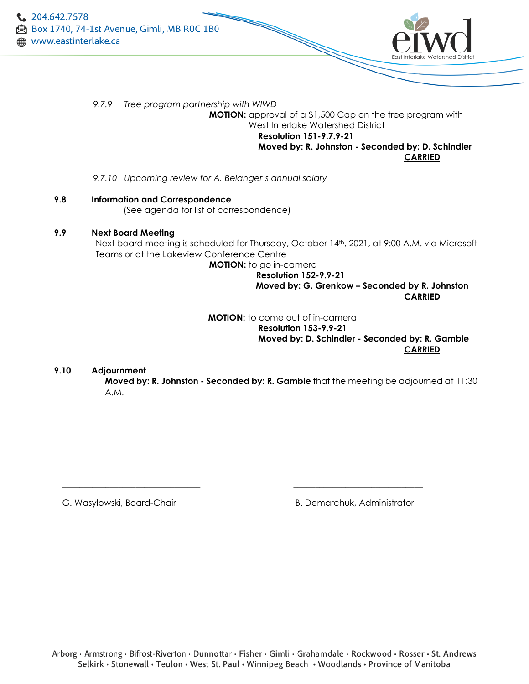

*9.7.9 Tree program partnership with WIWD* **MOTION:** approval of a \$1,500 Cap on the tree program with West Interlake Watershed District **Resolution 151-9.7.9-21 Moved by: R. Johnston - Seconded by: D. Schindler CARRIED**

*9.7.10 Upcoming review for A. Belanger's annual salary*

#### **9.8 Information and Correspondence**

(See agenda for list of correspondence)

#### **9.9 Next Board Meeting**

Next board meeting is scheduled for Thursday, October 14th, 2021, at 9:00 A.M. via Microsoft Teams or at the Lakeview Conference Centre **MOTION:** to go in-camera

 **Resolution 152-9.9-21 Moved by: G. Grenkow – Seconded by R. Johnston CARRIED**

#### **MOTION:** to come out of in-camera **Resolution 153-9.9-21 Moved by: D. Schindler - Seconded by: R. Gamble CARRIED**

#### **9.10 Adjournment**

**Moved by: R. Johnston - Seconded by: R. Gamble** that the meeting be adjourned at 11:30 A.M.

G. Wasylowski, Board-Chair **B. Demarchuk, Administrator** B. Demarchuk, Administrator

\_\_\_\_\_\_\_\_\_\_\_\_\_\_\_\_\_\_\_\_\_\_\_\_\_\_\_\_\_\_\_\_ \_\_\_\_\_\_\_\_\_\_\_\_\_\_\_\_\_\_\_\_\_\_\_\_\_\_\_\_\_\_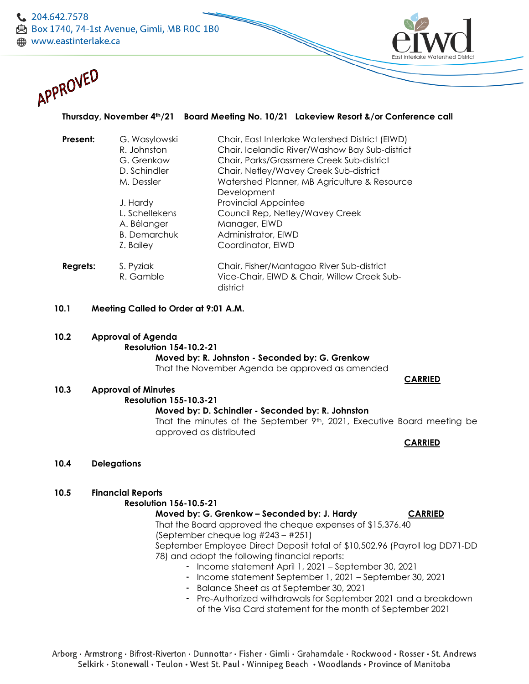

#### **Thursday, November 4th/21 Board Meeting No. 10/21 Lakeview Resort &/or Conference call**

| Present: | G. Wasylowski<br>R. Johnston<br>G. Grenkow<br>D. Schindler | Chair, East Interlake Watershed District (EIWD)<br>Chair, Icelandic River/Washow Bay Sub-district<br>Chair, Parks/Grassmere Creek Sub-district<br>Chair, Netley/Wavey Creek Sub-district |
|----------|------------------------------------------------------------|------------------------------------------------------------------------------------------------------------------------------------------------------------------------------------------|
|          | M. Dessler                                                 | Watershed Planner, MB Agriculture & Resource<br>Development                                                                                                                              |
|          | J. Hardy                                                   | <b>Provincial Appointee</b>                                                                                                                                                              |
|          | L. Schellekens                                             | Council Rep, Netley/Wavey Creek                                                                                                                                                          |
|          | A. Bélanger                                                | Manager, EIWD                                                                                                                                                                            |
|          | <b>B.</b> Demarchuk                                        | Administrator, EIWD                                                                                                                                                                      |
|          | Z. Bailey                                                  | Coordinator, EIWD                                                                                                                                                                        |
| Regrets: | S. Pyziak<br>R. Gamble                                     | Chair, Fisher/Mantagao River Sub-district<br>Vice-Chair, EIWD & Chair, Willow Creek Sub-                                                                                                 |

- **10.1 Meeting Called to Order at 9:01 A.M.**
- **10.2 Approval of Agenda Resolution 154-10.2-21 Moved by: R. Johnston - Seconded by: G. Grenkow** That the November Agenda be approved as amended

district

 **CARRIED**

#### **10.3 Approval of Minutes**

**Resolution 155-10.3-21**

#### **Moved by: D. Schindler - Seconded by: R. Johnston**

That the minutes of the September 9th, 2021, Executive Board meeting be approved as distributed

**CARRIED**

#### **10.4 Delegations**

#### **10.5 Financial Reports**

#### **Resolution 156-10.5-21**

# **Moved by: G. Grenkow – Seconded by: J. Hardy CARRIED**

That the Board approved the cheque expenses of \$15,376.40 (September cheque log #243 – #251) September Employee Direct Deposit total of \$10,502.96 (Payroll log DD71-DD 78) and adopt the following financial reports:

- Income statement April 1, 2021 September 30, 2021
- Income statement September 1, 2021 September 30, 2021
- Balance Sheet as at September 30, 2021
- Pre-Authorized withdrawals for September 2021 and a breakdown of the Visa Card statement for the month of September 2021

Arborg · Armstrong · Bifrost-Riverton · Dunnottar · Fisher · Gimli · Grahamdale · Rockwood · Rosser · St. Andrews Selkirk · Stonewall · Teulon · West St. Paul · Winnipeg Beach · Woodlands · Province of Manitoba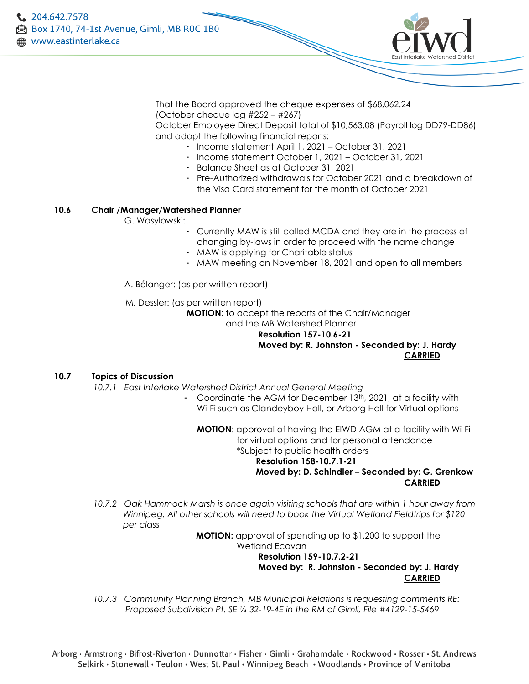

October Employee Direct Deposit total of \$10,563.08 (Payroll log DD79-DD86) and adopt the following financial reports:

- Income statement April 1, 2021 October 31, 2021
- Income statement October 1, 2021 October 31, 2021
- Balance Sheet as at October 31, 2021
- Pre-Authorized withdrawals for October 2021 and a breakdown of the Visa Card statement for the month of October 2021

#### **10.6 Chair /Manager/Watershed Planner**

G. Wasylowski:

- Currently MAW is still called MCDA and they are in the process of changing by-laws in order to proceed with the name change
- MAW is applying for Charitable status
- MAW meeting on November 18, 2021 and open to all members

A. Bélanger: (as per written report)

M. Dessler: (as per written report)

**MOTION**: to accept the reports of the Chair/Manager and the MB Watershed Planner

# **Resolution 157-10.6-21**

# **Moved by: R. Johnston - Seconded by: J. Hardy CARRIED**

#### **10.7 Topics of Discussion**

*10.7.1 East Interlake Watershed District Annual General Meeting*

Coordinate the AGM for December 13th, 2021, at a facility with Wi-Fi such as Clandeyboy Hall, or Arborg Hall for Virtual options

**MOTION**: approval of having the EIWD AGM at a facility with Wi-Fi for virtual options and for personal attendance \*Subject to public health orders **Resolution 158-10.7.1-21 Moved by: D. Schindler – Seconded by: G. Grenkow CARRIED**

*10.7.2 Oak Hammock Marsh is once again visiting schools that are within 1 hour away from Winnipeg. All other schools will need to book the Virtual Wetland Fieldtrips for \$120 per class*

> **MOTION:** approval of spending up to \$1,200 to support the Wetland Ecovan

#### **Resolution 159-10.7.2-21 Moved by: R. Johnston - Seconded by: J. Hardy CARRIED**

*10.7.3 Community Planning Branch, MB Municipal Relations is requesting comments RE: Proposed Subdivision Pt. SE ¼ 32-19-4E in the RM of Gimli, File #4129-15-5469*

Arborg · Armstrong · Bifrost-Riverton · Dunnottar · Fisher · Gimli · Grahamdale · Rockwood · Rosser · St. Andrews Selkirk · Stonewall · Teulon · West St. Paul · Winnipeg Beach · Woodlands · Province of Manitoba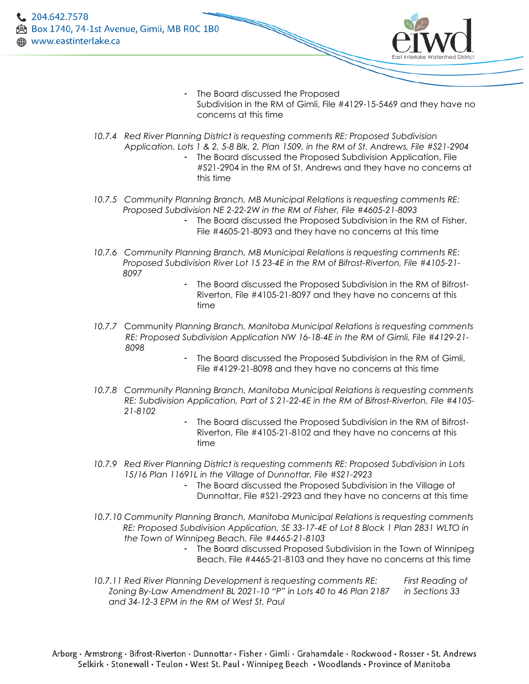- The Board discussed the Proposed Subdivision in the RM of Gimli, File #4129-15-5469 and they have no concerns at this time
- *10.7.4 Red River Planning District is requesting comments RE: Proposed Subdivision Application, Lots 1 & 2, 5-8 Blk. 2, Plan 1509, in the RM of St. Andrews, File #S21-2904* - The Board discussed the Proposed Subdivision Application, File #S21-2904 in the RM of St. Andrews and they have no concerns at
	- this time
- *10.7.5 Community Planning Branch, MB Municipal Relations is requesting comments RE: Proposed Subdivision NE 2-22-2W in the RM of Fisher, File #4605-21-8093*
	- The Board discussed the Proposed Subdivision in the RM of Fisher, File #4605-21-8093 and they have no concerns at this time
- *10.7.6 Community Planning Branch, MB Municipal Relations is requesting comments RE: Proposed Subdivision River Lot 15 23-4E in the RM of Bifrost-Riverton, File #4105-21- 8097*
	- The Board discussed the Proposed Subdivision in the RM of Bifrost-Riverton, File #4105-21-8097 and they have no concerns at this time
- *10.7.7* Community *Planning Branch, Manitoba Municipal Relations is requesting comments RE: Proposed Subdivision Application NW 16-18-4E in the RM of Gimli, File #4129-21- 8098*
	- The Board discussed the Proposed Subdivision in the RM of Gimli, File #4129-21-8098 and they have no concerns at this time
- *10.7.8 Community Planning Branch, Manitoba Municipal Relations is requesting comments RE: Subdivision Application, Part of S 21-22-4E in the RM of Bifrost-Riverton, File #4105- 21-8102* 
	- The Board discussed the Proposed Subdivision in the RM of Bifrost-Riverton, File #4105-21-8102 and they have no concerns at this time
- *10.7.9 Red River Planning District is requesting comments RE: Proposed Subdivision in Lots 15/16 Plan 11691L in the Village of Dunnottar, File #S21-2923*
	- The Board discussed the Proposed Subdivision in the Village of
		- Dunnottar, File #S21-2923 and they have no concerns at this time
- *10.7.10 Community Planning Branch, Manitoba Municipal Relations is requesting comments RE: Proposed Subdivision Application, SE 33-17-4E of Lot 8 Block 1 Plan 2831 WLTO in the Town of Winnipeg Beach, File #4465-21-8103* 
	- The Board discussed Proposed Subdivision in the Town of Winnipeg Beach, File #4465-21-8103 and they have no concerns at this time
- 10.7.11 Red River Planning Development is requesting comments RE: First Reading of *Zoning By-Law Amendment BL 2021-10 "P" in Lots 40 to 46 Plan 2187 in Sections 33 and 34-12-3 EPM in the RM of West St. Paul*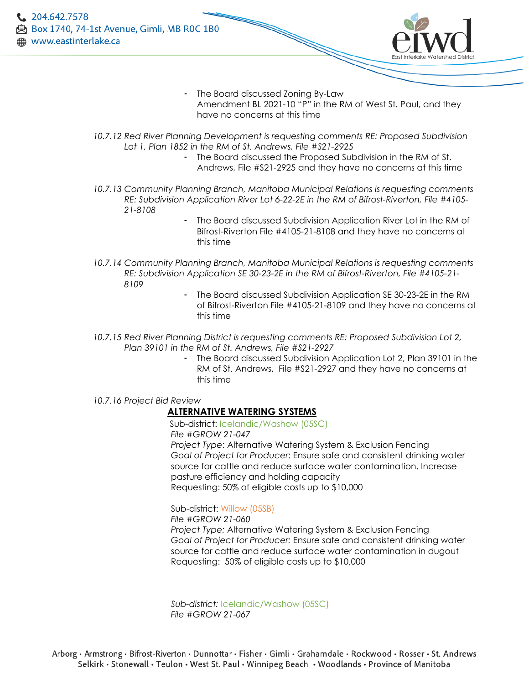- The Board discussed Zoning By-Law Amendment BL 2021-10 "P" in the RM of West St. Paul, and they have no concerns at this time
- *10.7.12 Red River Planning Development is requesting comments RE: Proposed Subdivision Lot 1, Plan 1852 in the RM of St. Andrews, File #S21-2925*
	- The Board discussed the Proposed Subdivision in the RM of St. Andrews, File #S21-2925 and they have no concerns at this time
- *10.7.13 Community Planning Branch, Manitoba Municipal Relations is requesting comments RE: Subdivision Application River Lot 6-22-2E in the RM of Bifrost-Riverton, File #4105- 21-8108*
	- The Board discussed Subdivision Application River Lot in the RM of Bifrost-Riverton File #4105-21-8108 and they have no concerns at this time
- *10.7.14 Community Planning Branch, Manitoba Municipal Relations is requesting comments RE: Subdivision Application SE 30-23-2E in the RM of Bifrost-Riverton, File #4105-21- 8109* 
	- The Board discussed Subdivision Application SE 30-23-2E in the RM of Bifrost-Riverton File #4105-21-8109 and they have no concerns at this time
- *10.7.15 Red River Planning District is requesting comments RE: Proposed Subdivision Lot 2, Plan 39101 in the RM of St. Andrews, File #S21-2927*
	- The Board discussed Subdivision Application Lot 2, Plan 39101 in the RM of St. Andrews, File #S21-2927 and they have no concerns at this time
- *10.7.16 Project Bid Review*

#### **ALTERNATIVE WATERING SYSTEMS**

Sub-district: Icelandic/Washow (05SC) *File #GROW 21-047 Project Type*: Alternative Watering System & Exclusion Fencing *Goal of Project for Producer*: Ensure safe and consistent drinking water source for cattle and reduce surface water contamination. Increase pasture efficiency and holding capacity Requesting: 50% of eligible costs up to \$10,000

Sub-district: Willow (05SB)

*File #GROW 21-060 Project Type:* Alternative Watering System & Exclusion Fencing *Goal of Project for Producer:* Ensure safe and consistent drinking water source for cattle and reduce surface water contamination in dugout Requesting: 50% of eligible costs up to \$10,000

*Sub-district:* Icelandic/Washow (05SC) *File #GROW 21-067*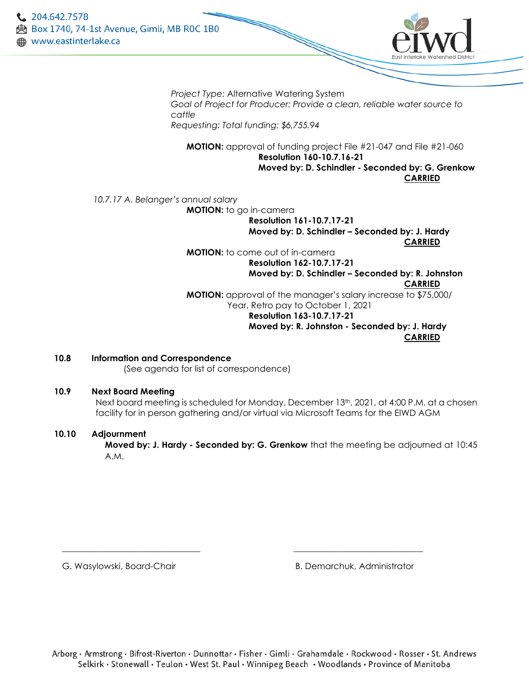$204.642.7578$ **A** Box 1740, 74-1st Avenue, Gimli, MB ROC 1B0 **ED** www.eastinterlake.ca



*Project Type:* Alternative Watering System *Goal of Project for Producer: Provide a clean, reliable water source to cattle Requesting: Total funding: \$6,755.94*

**MOTION:** approval of funding project File #21-047 and File #21-060  **Resolution 160-10.7.16-21**

> **Moved by: D. Schindler - Seconded by: G. Grenkow CARRIED**

*10.7.17 A. Belanger's annual salary*

**MOTION:** to go in-camera

**Resolution 161-10.7.17-21 Moved by: D. Schindler – Seconded by: J. Hardy**

**CARRIED**

**MOTION:** to come out of in-camera

**Resolution 162-10.7.17-21 Moved by: D. Schindler – Seconded by: R. Johnston CARRIED MOTION:** approval of the manager's salary increase to \$75,000/

Year, Retro pay to October 1, 2021

**Resolution 163-10.7.17-21 Moved by: R. Johnston - Seconded by: J. Hardy CARRIED**

# **10.8 Information and Correspondence**

(See agenda for list of correspondence)

#### **10.9 Next Board Meeting**

Next board meeting is scheduled for Monday, December 13<sup>th</sup>, 2021, at 4:00 P.M. at a chosen facility for in person gathering and/or virtual via Microsoft Teams for the EIWD AGM

#### **10.10 Adjournment**

**Moved by: J. Hardy - Seconded by: G. Grenkow** that the meeting be adjourned at 10:45 A.M.

G. Wasylowski, Board-Chair **B. Demarchuk, Administrator** B. Demarchuk, Administrator

\_\_\_\_\_\_\_\_\_\_\_\_\_\_\_\_\_\_\_\_\_\_\_\_\_\_\_\_\_\_\_\_ \_\_\_\_\_\_\_\_\_\_\_\_\_\_\_\_\_\_\_\_\_\_\_\_\_\_\_\_\_\_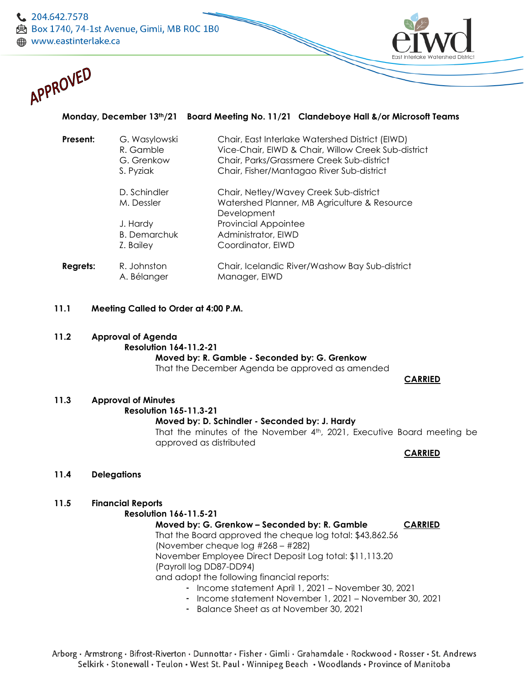

### **Monday, December 13th/21 Board Meeting No. 11/21 Clandeboye Hall &/or Microsoft Teams**

| Present: | G. Wasylowski<br>R. Gamble<br>G. Grenkow<br>S. Pyziak | Chair, East Interlake Watershed District (EIWD)<br>Vice-Chair, EIWD & Chair, Willow Creek Sub-district<br>Chair, Parks/Grassmere Creek Sub-district<br>Chair, Fisher/Mantagao River Sub-district |
|----------|-------------------------------------------------------|--------------------------------------------------------------------------------------------------------------------------------------------------------------------------------------------------|
|          | D. Schindler<br>M. Dessler                            | Chair, Netley/Wavey Creek Sub-district<br>Watershed Planner, MB Agriculture & Resource<br>Development                                                                                            |
|          | J. Hardy<br><b>B.</b> Demarchuk<br>Z. Bailey          | <b>Provincial Appointee</b><br>Administrator, EIWD<br>Coordinator, EIWD                                                                                                                          |
| Regrets: | R. Johnston<br>A. Bélanger                            | Chair, Icelandic River/Washow Bay Sub-district<br>Manager, EIWD                                                                                                                                  |

#### **11.1 Meeting Called to Order at 4:00 P.M.**

**11.2 Approval of Agenda Resolution 164-11.2-21 Moved by: R. Gamble - Seconded by: G. Grenkow** That the December Agenda be approved as amended

 **CARRIED** 

**11.3 Approval of Minutes Resolution 165-11.3-21 Moved by: D. Schindler - Seconded by: J. Hardy** That the minutes of the November 4<sup>th</sup>, 2021, Executive Board meeting be approved as distributed

**CARRIED**

- **11.4 Delegations**
- **11.5 Financial Reports**

**Resolution 166-11.5-21**

**Moved by: G. Grenkow - Seconded by: R. Gamble CARRIED** That the Board approved the cheque log total: \$43,862.56 (November cheque log #268 – #282) November Employee Direct Deposit Log total: \$11,113.20 (Payroll log DD87-DD94) and adopt the following financial reports:

- Income statement April 1, 2021 November 30, 2021
- Income statement November 1, 2021 November 30, 2021
- Balance Sheet as at November 30, 2021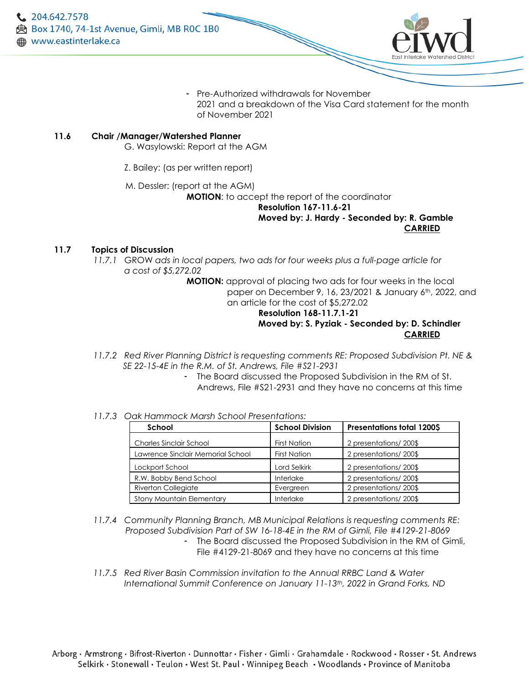

- Pre-Authorized withdrawals for November 2021 and a breakdown of the Visa Card statement for the month of November 2021

#### **11.6 Chair /Manager/Watershed Planner**

G. Wasylowski: Report at the AGM

Z. Bailey: (as per written report)

M. Dessler: (report at the AGM)

**MOTION**: to accept the report of the coordinator

**Resolution 167-11.6-21**

 **Moved by: J. Hardy - Seconded by: R. Gamble CARRIED**

#### **11.7 Topics of Discussion**

*11.7.1* GROW *ads in local papers, two ads for four weeks plus a full-page article for a cost of \$5,272.02*

> **MOTION:** approval of placing two ads for four weeks in the local paper on December 9, 16, 23/2021 & January 6th, 2022, and an article for the cost of \$5,272.02

#### **Resolution 168-11.7.1-21 Moved by: S. Pyziak - Seconded by: D. Schindler CARRIED**

- *11.7.2 Red River Planning District is requesting comments RE: Proposed Subdivision Pt. NE & SE 22-15-4E in the R.M. of St. Andrews, File #S21-2931*
	- The Board discussed the Proposed Subdivision in the RM of St. Andrews, File #S21-2931 and they have no concerns at this time
- *11.7.3 Oak Hammock Marsh School Presentations:*

| School                            | <b>School Division</b> | <b>Presentations total 1200\$</b> |
|-----------------------------------|------------------------|-----------------------------------|
| <b>Charles Sinclair School</b>    | <b>First Nation</b>    | 2 presentations/200\$             |
| Lawrence Sinclair Memorial School | <b>First Nation</b>    | 2 presentations/200\$             |
| Lockport School                   | Lord Selkirk           | 2 presentations/200\$             |
| R.W. Bobby Bend School            | Interlake              | 2 presentations/200\$             |
| <b>Riverton Collegiate</b>        | Evergreen              | 2 presentations/200\$             |
| <b>Stony Mountain Elementary</b>  | Interlake              | 2 presentations/200\$             |

- *11.7.4 Community Planning Branch, MB Municipal Relations is requesting comments RE: Proposed Subdivision Part of SW 16-18-4E in the RM of Gimli, File #4129-21-8069* - The Board discussed the Proposed Subdivision in the RM of Gimli,
	- File #4129-21-8069 and they have no concerns at this time
- *11.7.5 Red River Basin Commission invitation to the Annual RRBC Land & Water International Summit Conference on January 11-13th, 2022 in Grand Forks, ND*